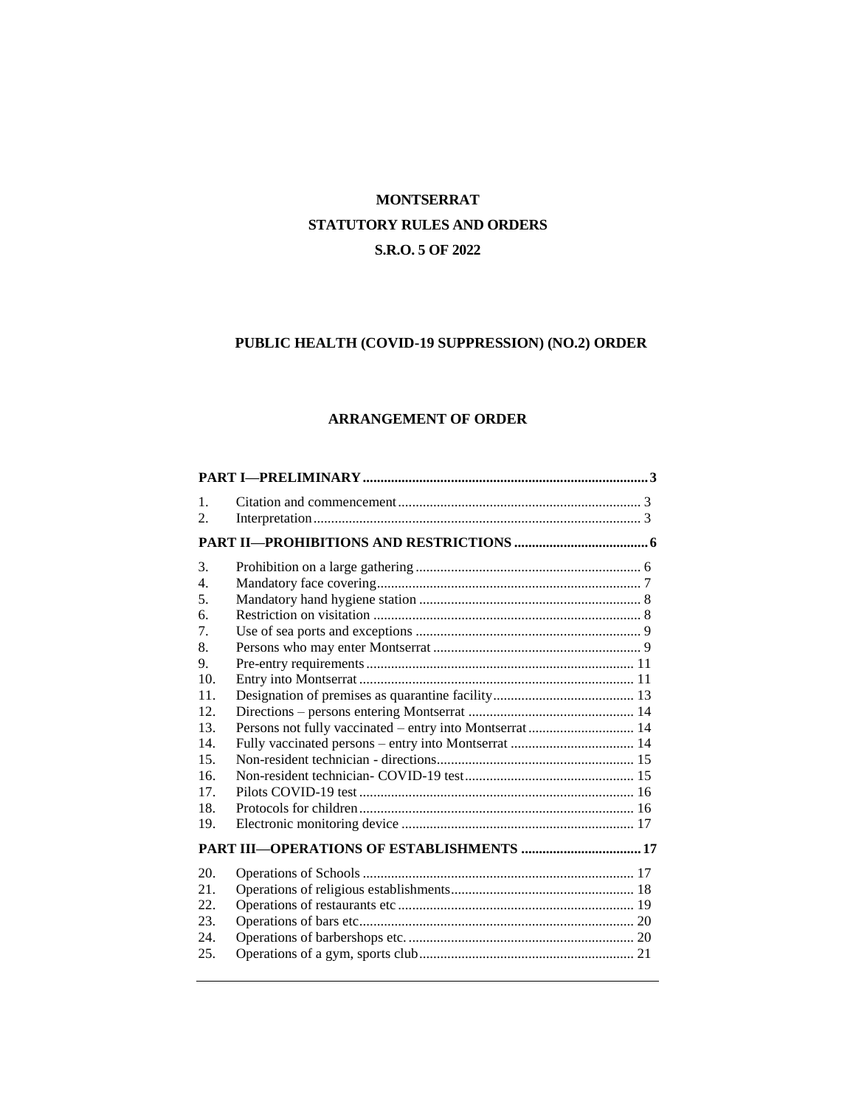## **MONTSERRAT STATUTORY RULES AND ORDERS S.R.O. 5 OF 2022**

## **PUBLIC HEALTH (COVID-19 SUPPRESSION) (NO.2) ORDER**

## **ARRANGEMENT OF ORDER**

| 1.<br>2.                                                                                                                   |                                                          |  |
|----------------------------------------------------------------------------------------------------------------------------|----------------------------------------------------------|--|
|                                                                                                                            |                                                          |  |
| 3.<br>$\overline{4}$ .<br>5.<br>6.<br>7.<br>8.<br>9.<br>10.<br>11.<br>12.<br>13.<br>14.<br>15.<br>16.<br>17.<br>18.<br>19. | Persons not fully vaccinated – entry into Montserrat  14 |  |
|                                                                                                                            |                                                          |  |
| 20.<br>21.<br>22.<br>23.<br>24.<br>25.                                                                                     |                                                          |  |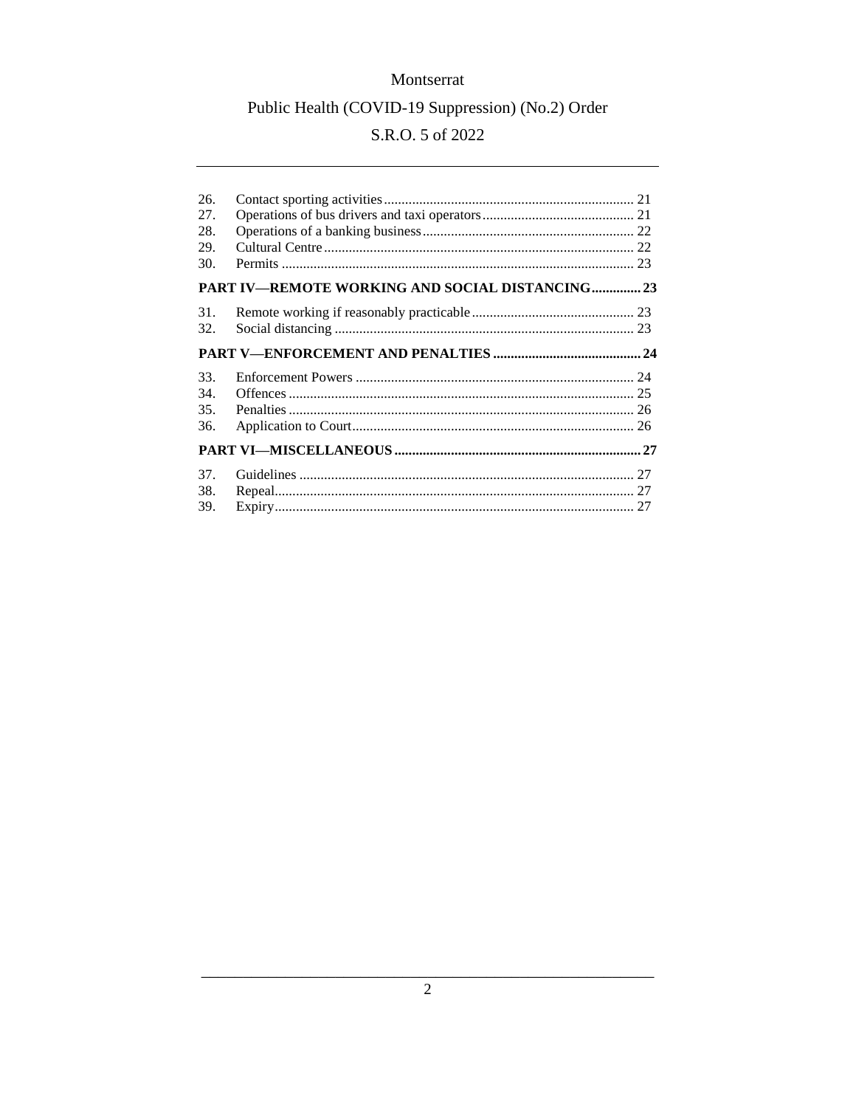## S.R.O. 5 of 2022

| 26.<br>27.<br>28.<br>29.<br>30. |                                                 |  |
|---------------------------------|-------------------------------------------------|--|
|                                 | PART IV—REMOTE WORKING AND SOCIAL DISTANCING 23 |  |
| 31.<br>32.                      |                                                 |  |
|                                 |                                                 |  |
| 33.<br>34.                      |                                                 |  |
| 35.<br>36.                      |                                                 |  |
|                                 |                                                 |  |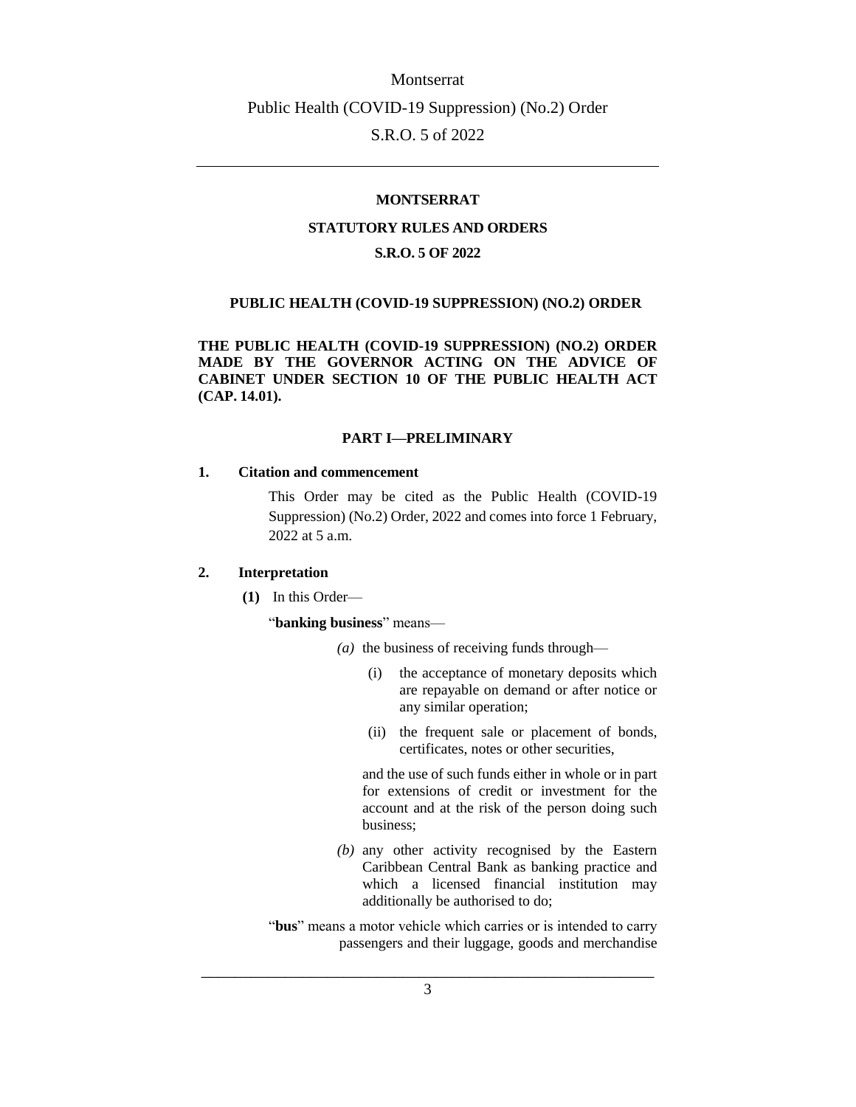## **MONTSERRAT**

#### **STATUTORY RULES AND ORDERS**

#### **S.R.O. 5 OF 2022**

#### **PUBLIC HEALTH (COVID-19 SUPPRESSION) (NO.2) ORDER**

**THE PUBLIC HEALTH (COVID-19 SUPPRESSION) (NO.2) ORDER MADE BY THE GOVERNOR ACTING ON THE ADVICE OF CABINET UNDER SECTION 10 OF THE PUBLIC HEALTH ACT (CAP. 14.01).**

### **PART I—PRELIMINARY**

#### <span id="page-2-1"></span><span id="page-2-0"></span>**1. Citation and commencement**

This Order may be cited as the Public Health (COVID-19 Suppression) (No.2) Order, 2022 and comes into force 1 February, 2022 at 5 a.m.

#### <span id="page-2-2"></span>**2. Interpretation**

**(1)** In this Order—

#### "**banking business**" means—

- *(a)* the business of receiving funds through—
	- (i) the acceptance of monetary deposits which are repayable on demand or after notice or any similar operation;
	- (ii) the frequent sale or placement of bonds, certificates, notes or other securities,

and the use of such funds either in whole or in part for extensions of credit or investment for the account and at the risk of the person doing such business;

*(b)* any other activity recognised by the Eastern Caribbean Central Bank as banking practice and which a licensed financial institution may additionally be authorised to do;

"bus" means a motor vehicle which carries or is intended to carry passengers and their luggage, goods and merchandise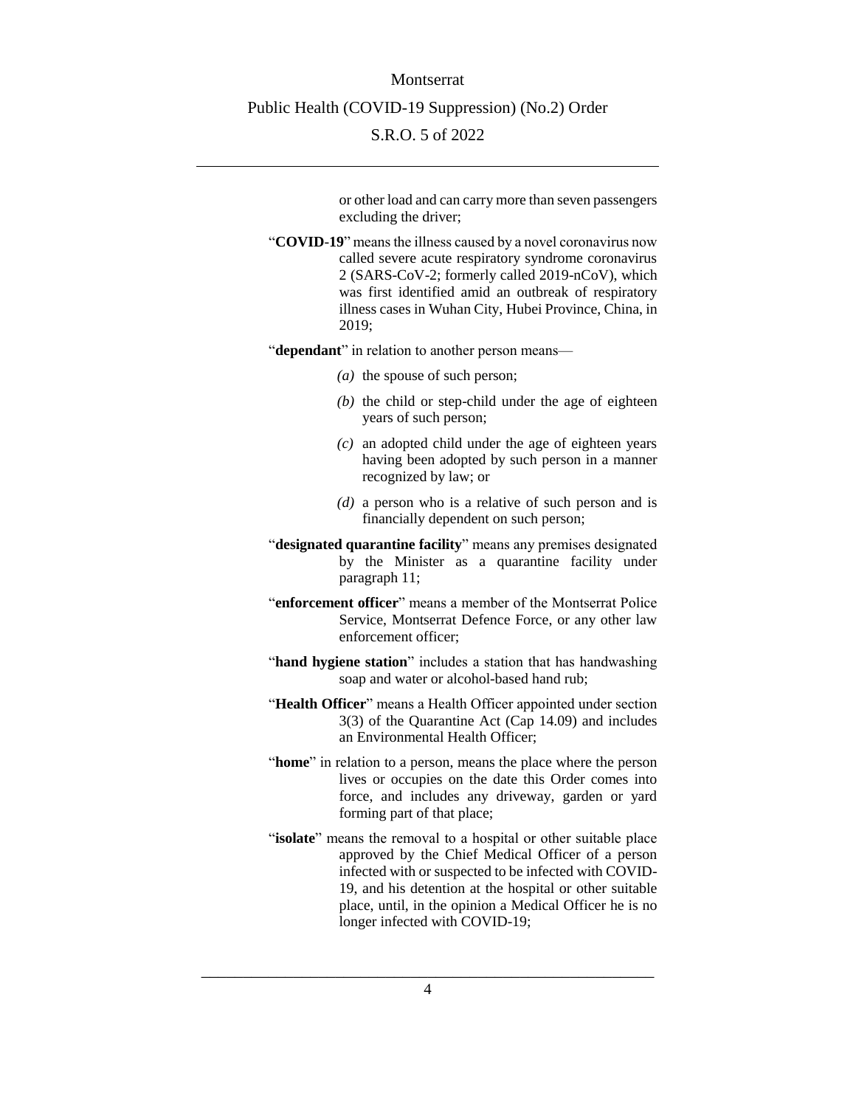or other load and can carry more than seven passengers excluding the driver;

- "**COVID**-**19**" means the illness caused by a novel coronavirus now called severe acute respiratory syndrome coronavirus 2 (SARS-CoV-2; formerly called 2019-nCoV), which was first identified amid an outbreak of respiratory illness cases in Wuhan City, Hubei Province, China, in 2019;
- "**dependant**" in relation to another person means—
	- *(a)* the spouse of such person;
	- *(b)* the child or step-child under the age of eighteen years of such person;
	- *(c)* an adopted child under the age of eighteen years having been adopted by such person in a manner recognized by law; or
	- *(d)* a person who is a relative of such person and is financially dependent on such person;
- "**designated quarantine facility**" means any premises designated by the Minister as a quarantine facility under paragraph 11;
- "**enforcement officer**" means a member of the Montserrat Police Service, Montserrat Defence Force, or any other law enforcement officer;
- "**hand hygiene station**" includes a station that has handwashing soap and water or alcohol-based hand rub;
- "**Health Officer**" means a Health Officer appointed under section 3(3) of the Quarantine Act (Cap 14.09) and includes an Environmental Health Officer;
- "**home**" in relation to a person, means the place where the person lives or occupies on the date this Order comes into force, and includes any driveway, garden or yard forming part of that place;
- "isolate" means the removal to a hospital or other suitable place approved by the Chief Medical Officer of a person infected with or suspected to be infected with COVID-19, and his detention at the hospital or other suitable place, until, in the opinion a Medical Officer he is no longer infected with COVID-19;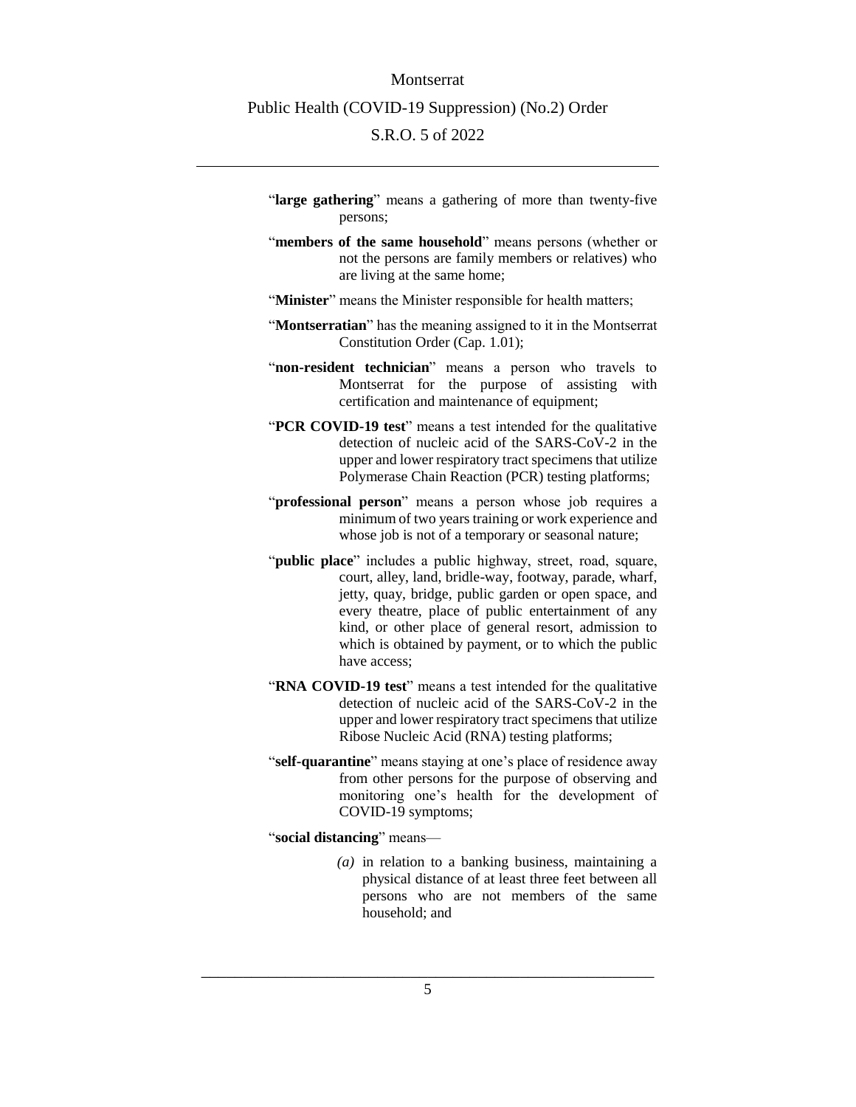- "**large gathering**" means a gathering of more than twenty-five persons;
- "**members of the same household**" means persons (whether or not the persons are family members or relatives) who are living at the same home;
- "**Minister**" means the Minister responsible for health matters;
- "**Montserratian**" has the meaning assigned to it in the Montserrat Constitution Order (Cap. 1.01);
- "**non-resident technician**" means a person who travels to Montserrat for the purpose of assisting with certification and maintenance of equipment;
- "**PCR COVID-19 test**" means a test intended for the qualitative detection of nucleic acid of the SARS-CoV-2 in the upper and lower respiratory tract specimens that utilize Polymerase Chain Reaction (PCR) testing platforms;
- "**professional person**" means a person whose job requires a minimum of two years training or work experience and whose job is not of a temporary or seasonal nature;
- "**public place**" includes a public highway, street, road, square, court, alley, land, bridle-way, footway, parade, wharf, jetty, quay, bridge, public garden or open space, and every theatre, place of public entertainment of any kind, or other place of general resort, admission to which is obtained by payment, or to which the public have access;
- "**RNA COVID-19 test**" means a test intended for the qualitative detection of nucleic acid of the SARS-CoV-2 in the upper and lower respiratory tract specimens that utilize Ribose Nucleic Acid (RNA) testing platforms;
- "self-quarantine" means staying at one's place of residence away from other persons for the purpose of observing and monitoring one's health for the development of COVID-19 symptoms;
- "**social distancing**" means—
	- *(a)* in relation to a banking business, maintaining a physical distance of at least three feet between all persons who are not members of the same household; and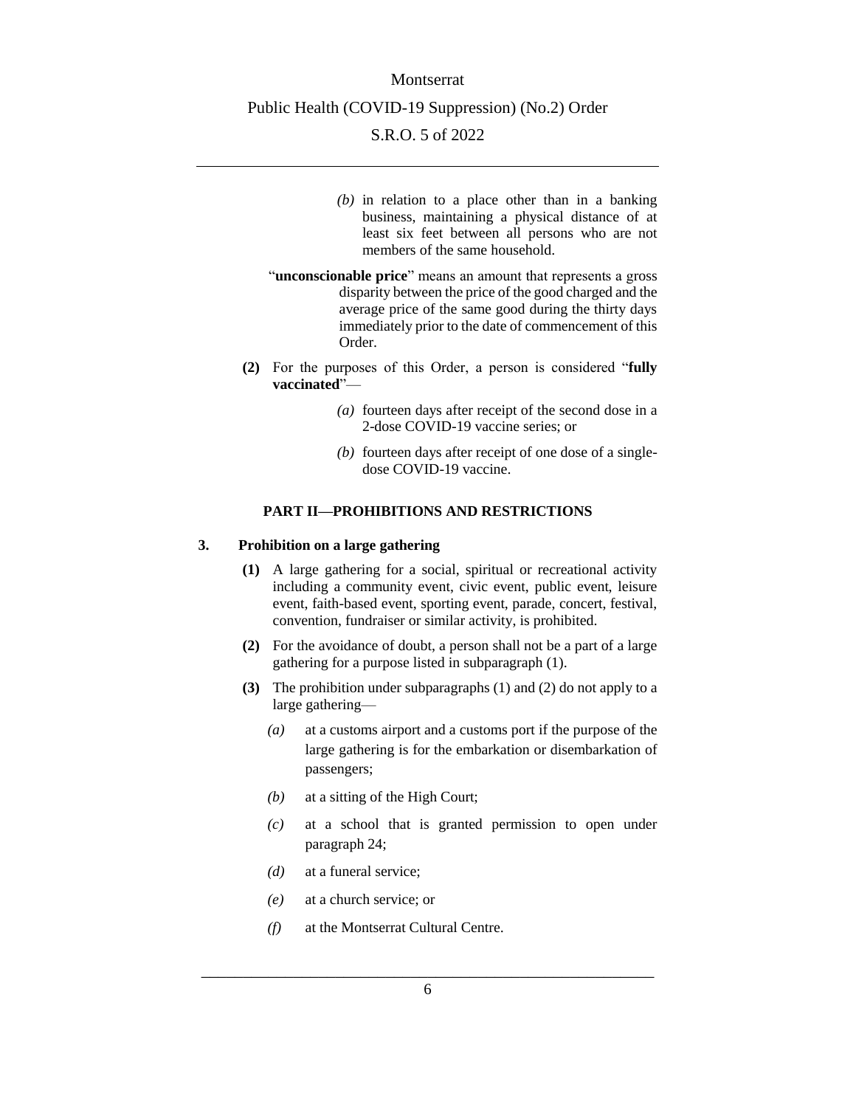- *(b)* in relation to a place other than in a banking business, maintaining a physical distance of at least six feet between all persons who are not members of the same household.
- "**unconscionable price**" means an amount that represents a gross disparity between the price of the good charged and the average price of the same good during the thirty days immediately prior to the date of commencement of this Order.
- **(2)** For the purposes of this Order, a person is considered "**fully vaccinated**"—
	- *(a)* fourteen days after receipt of the second dose in a 2-dose COVID-19 vaccine series; or
	- *(b)* fourteen days after receipt of one dose of a singledose COVID-19 vaccine.

## **PART II—PROHIBITIONS AND RESTRICTIONS**

### <span id="page-5-1"></span><span id="page-5-0"></span>**3. Prohibition on a large gathering**

- **(1)** A large gathering for a social, spiritual or recreational activity including a community event, civic event, public event, leisure event, faith-based event, sporting event, parade, concert, festival, convention, fundraiser or similar activity, is prohibited.
- **(2)** For the avoidance of doubt, a person shall not be a part of a large gathering for a purpose listed in subparagraph (1).
- **(3)** The prohibition under subparagraphs (1) and (2) do not apply to a large gathering—
	- *(a)* at a customs airport and a customs port if the purpose of the large gathering is for the embarkation or disembarkation of passengers;
	- *(b)* at a sitting of the High Court;
	- *(c)* at a school that is granted permission to open under paragraph 24;
	- *(d)* at a funeral service;
	- *(e)* at a church service; or
	- *(f)* at the Montserrat Cultural Centre.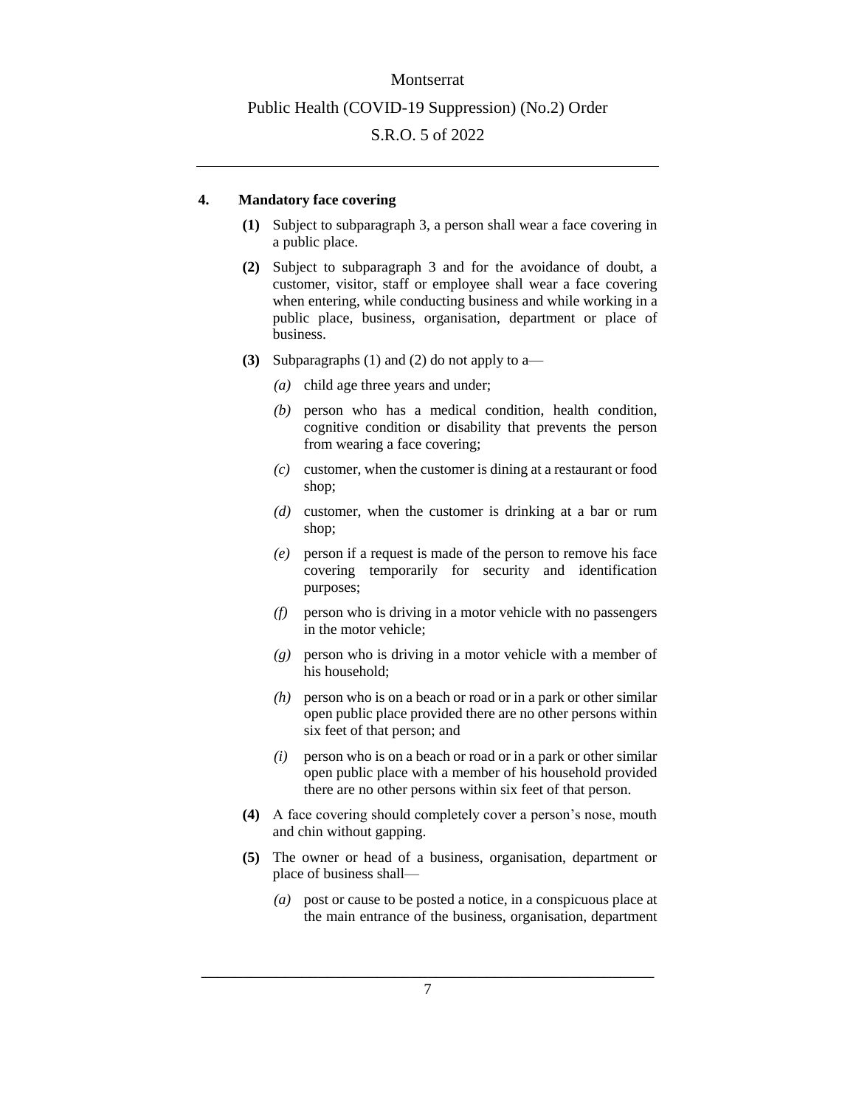#### <span id="page-6-0"></span>**4. Mandatory face covering**

- **(1)** Subject to subparagraph 3, a person shall wear a face covering in a public place.
- **(2)** Subject to subparagraph 3 and for the avoidance of doubt, a customer, visitor, staff or employee shall wear a face covering when entering, while conducting business and while working in a public place, business, organisation, department or place of business.
- **(3)** Subparagraphs (1) and (2) do not apply to a—
	- *(a)* child age three years and under;
	- *(b)* person who has a medical condition, health condition, cognitive condition or disability that prevents the person from wearing a face covering;
	- *(c)* customer, when the customer is dining at a restaurant or food shop;
	- *(d)* customer, when the customer is drinking at a bar or rum shop;
	- *(e)* person if a request is made of the person to remove his face covering temporarily for security and identification purposes;
	- *(f)* person who is driving in a motor vehicle with no passengers in the motor vehicle;
	- *(g)* person who is driving in a motor vehicle with a member of his household;
	- *(h)* person who is on a beach or road or in a park or other similar open public place provided there are no other persons within six feet of that person; and
	- *(i)* person who is on a beach or road or in a park or other similar open public place with a member of his household provided there are no other persons within six feet of that person.
- **(4)** A face covering should completely cover a person's nose, mouth and chin without gapping.
- **(5)** The owner or head of a business, organisation, department or place of business shall—
	- *(a)* post or cause to be posted a notice, in a conspicuous place at the main entrance of the business, organisation, department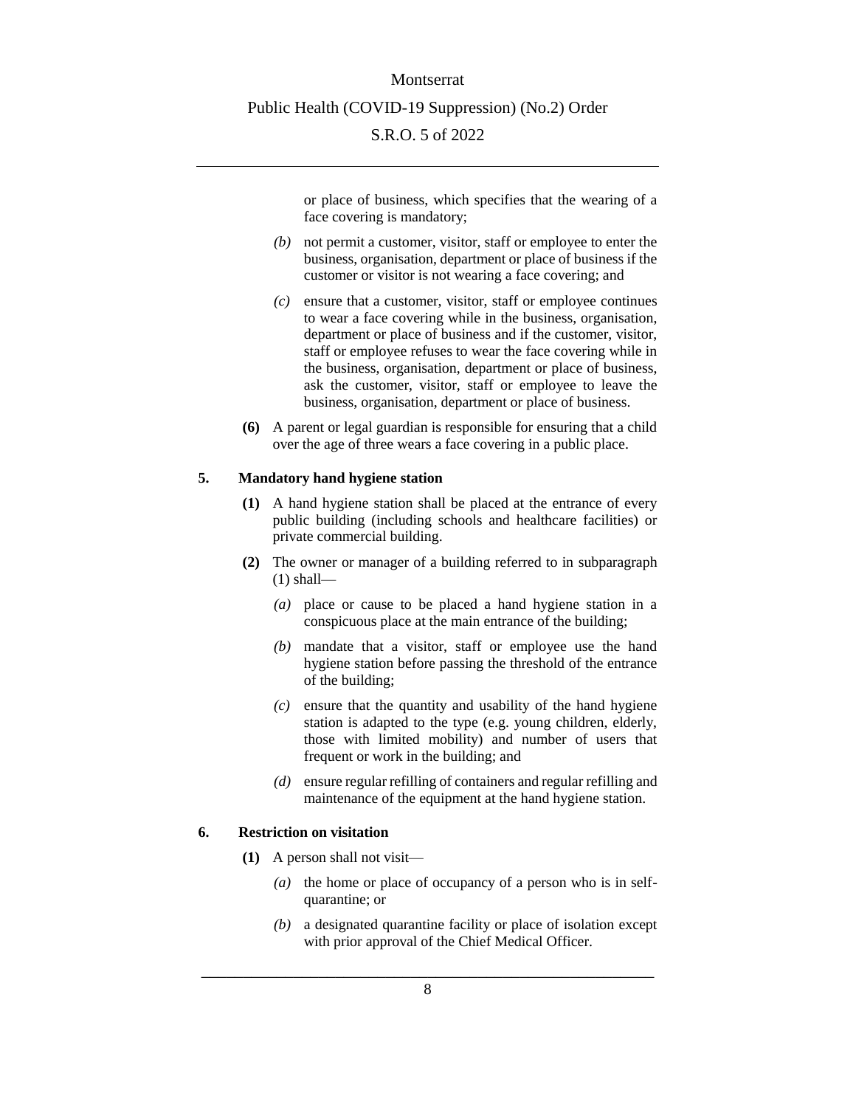or place of business, which specifies that the wearing of a face covering is mandatory;

- *(b)* not permit a customer, visitor, staff or employee to enter the business, organisation, department or place of business if the customer or visitor is not wearing a face covering; and
- *(c)* ensure that a customer, visitor, staff or employee continues to wear a face covering while in the business, organisation, department or place of business and if the customer, visitor, staff or employee refuses to wear the face covering while in the business, organisation, department or place of business, ask the customer, visitor, staff or employee to leave the business, organisation, department or place of business.
- **(6)** A parent or legal guardian is responsible for ensuring that a child over the age of three wears a face covering in a public place.

## <span id="page-7-0"></span>**5. Mandatory hand hygiene station**

- **(1)** A hand hygiene station shall be placed at the entrance of every public building (including schools and healthcare facilities) or private commercial building.
- **(2)** The owner or manager of a building referred to in subparagraph  $(1)$  shall—
	- *(a)* place or cause to be placed a hand hygiene station in a conspicuous place at the main entrance of the building;
	- *(b)* mandate that a visitor, staff or employee use the hand hygiene station before passing the threshold of the entrance of the building;
	- *(c)* ensure that the quantity and usability of the hand hygiene station is adapted to the type (e.g. young children, elderly, those with limited mobility) and number of users that frequent or work in the building; and
	- *(d)* ensure regular refilling of containers and regular refilling and maintenance of the equipment at the hand hygiene station.

#### <span id="page-7-1"></span>**6. Restriction on visitation**

- **(1)** A person shall not visit—
	- *(a)* the home or place of occupancy of a person who is in selfquarantine; or
	- *(b)* a designated quarantine facility or place of isolation except with prior approval of the Chief Medical Officer.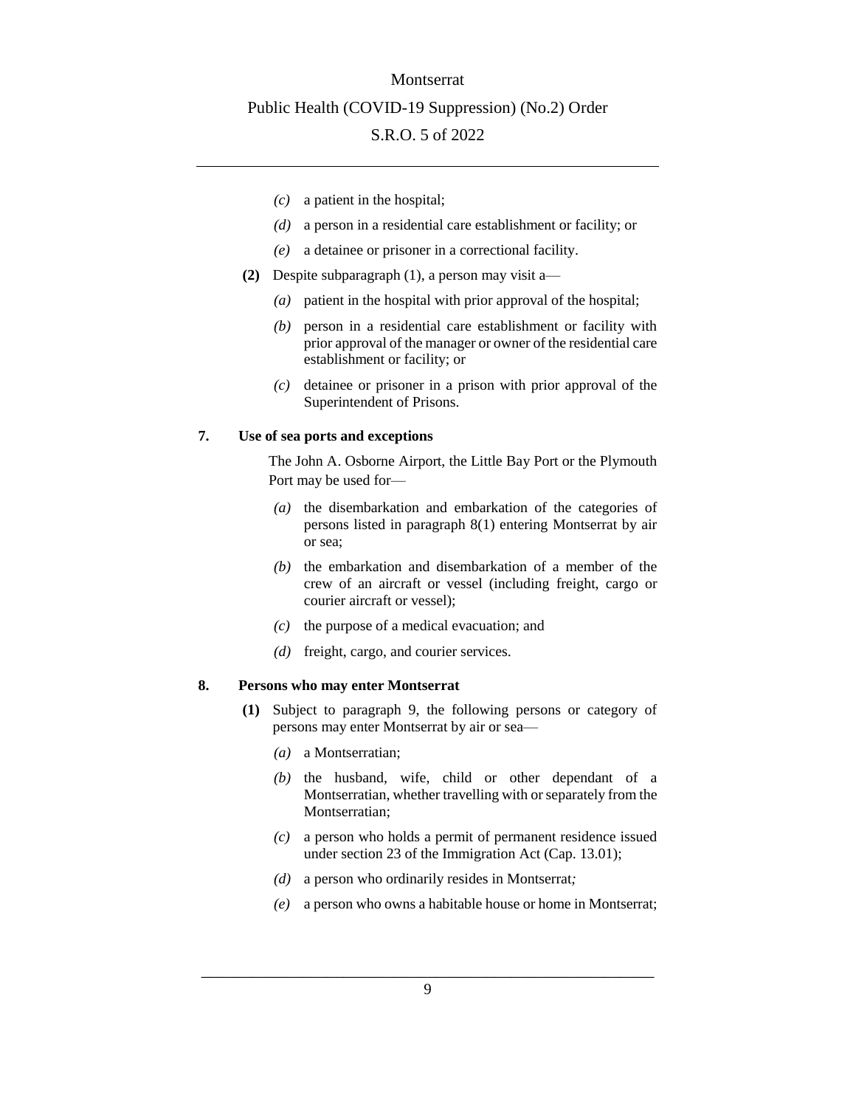- *(c)* a patient in the hospital;
- *(d)* a person in a residential care establishment or facility; or
- *(e)* a detainee or prisoner in a correctional facility.
- **(2)** Despite subparagraph (1), a person may visit a—
	- *(a)* patient in the hospital with prior approval of the hospital;
	- *(b)* person in a residential care establishment or facility with prior approval of the manager or owner of the residential care establishment or facility; or
	- *(c)* detainee or prisoner in a prison with prior approval of the Superintendent of Prisons.

#### <span id="page-8-0"></span>**7. Use of sea ports and exceptions**

The John A. Osborne Airport, the Little Bay Port or the Plymouth Port may be used for—

- *(a)* the disembarkation and embarkation of the categories of persons listed in paragraph 8(1) entering Montserrat by air or sea;
- *(b)* the embarkation and disembarkation of a member of the crew of an aircraft or vessel (including freight, cargo or courier aircraft or vessel);
- *(c)* the purpose of a medical evacuation; and
- *(d)* freight, cargo, and courier services.

#### <span id="page-8-1"></span>**8. Persons who may enter Montserrat**

- **(1)** Subject to paragraph 9, the following persons or category of persons may enter Montserrat by air or sea—
	- *(a)* a Montserratian;
	- *(b)* the husband, wife, child or other dependant of a Montserratian, whether travelling with or separately from the Montserratian;
	- *(c)* a person who holds a permit of permanent residence issued under section 23 of the Immigration Act (Cap. 13.01);
	- *(d)* a person who ordinarily resides in Montserrat*;*
	- *(e)* a person who owns a habitable house or home in Montserrat;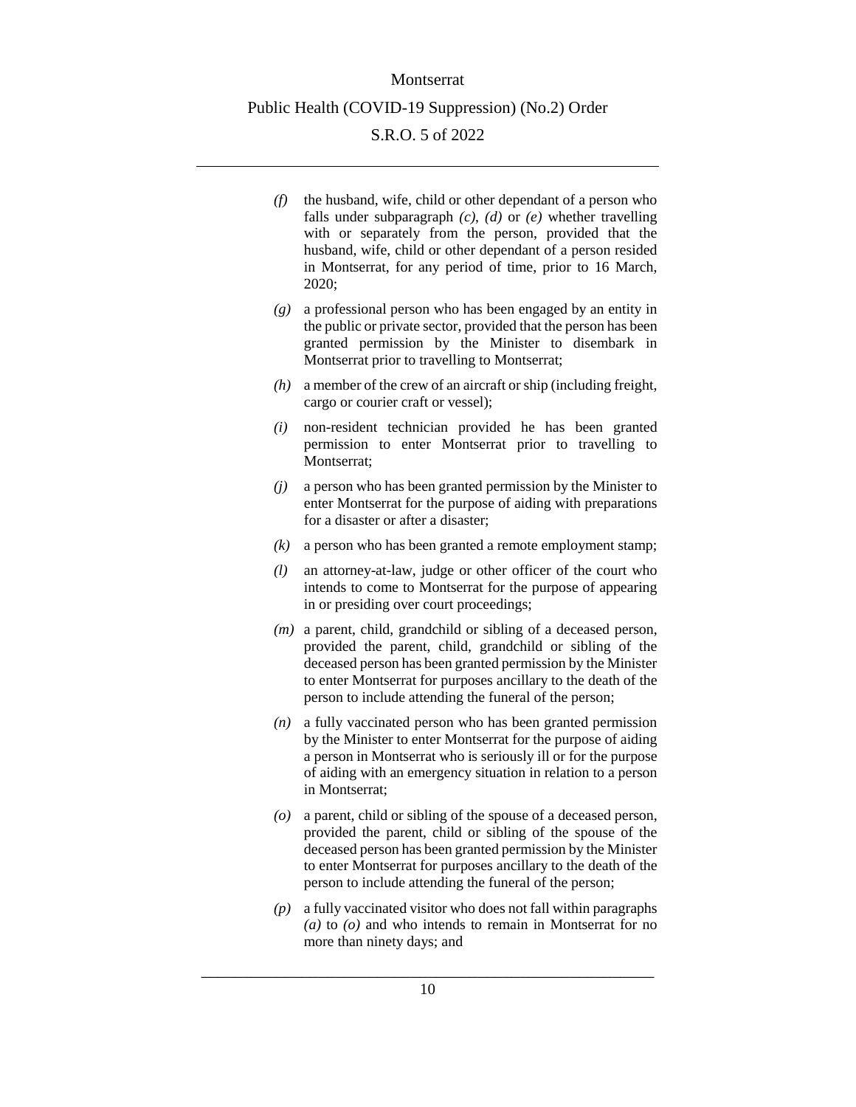- *(f)* the husband, wife, child or other dependant of a person who falls under subparagraph *(c)*, *(d)* or *(e)* whether travelling with or separately from the person, provided that the husband, wife, child or other dependant of a person resided in Montserrat, for any period of time, prior to 16 March, 2020;
- *(g)* a professional person who has been engaged by an entity in the public or private sector, provided that the person has been granted permission by the Minister to disembark in Montserrat prior to travelling to Montserrat;
- *(h)* a member of the crew of an aircraft or ship (including freight, cargo or courier craft or vessel);
- *(i)* non-resident technician provided he has been granted permission to enter Montserrat prior to travelling to Montserrat;
- *(j)* a person who has been granted permission by the Minister to enter Montserrat for the purpose of aiding with preparations for a disaster or after a disaster;
- *(k)* a person who has been granted a remote employment stamp;
- *(l)* an attorney-at-law, judge or other officer of the court who intends to come to Montserrat for the purpose of appearing in or presiding over court proceedings;
- *(m)* a parent, child, grandchild or sibling of a deceased person, provided the parent, child, grandchild or sibling of the deceased person has been granted permission by the Minister to enter Montserrat for purposes ancillary to the death of the person to include attending the funeral of the person;
- *(n)* a fully vaccinated person who has been granted permission by the Minister to enter Montserrat for the purpose of aiding a person in Montserrat who is seriously ill or for the purpose of aiding with an emergency situation in relation to a person in Montserrat;
- *(o)* a parent, child or sibling of the spouse of a deceased person, provided the parent, child or sibling of the spouse of the deceased person has been granted permission by the Minister to enter Montserrat for purposes ancillary to the death of the person to include attending the funeral of the person;
- *(p)* a fully vaccinated visitor who does not fall within paragraphs *(a)* to *(o)* and who intends to remain in Montserrat for no more than ninety days; and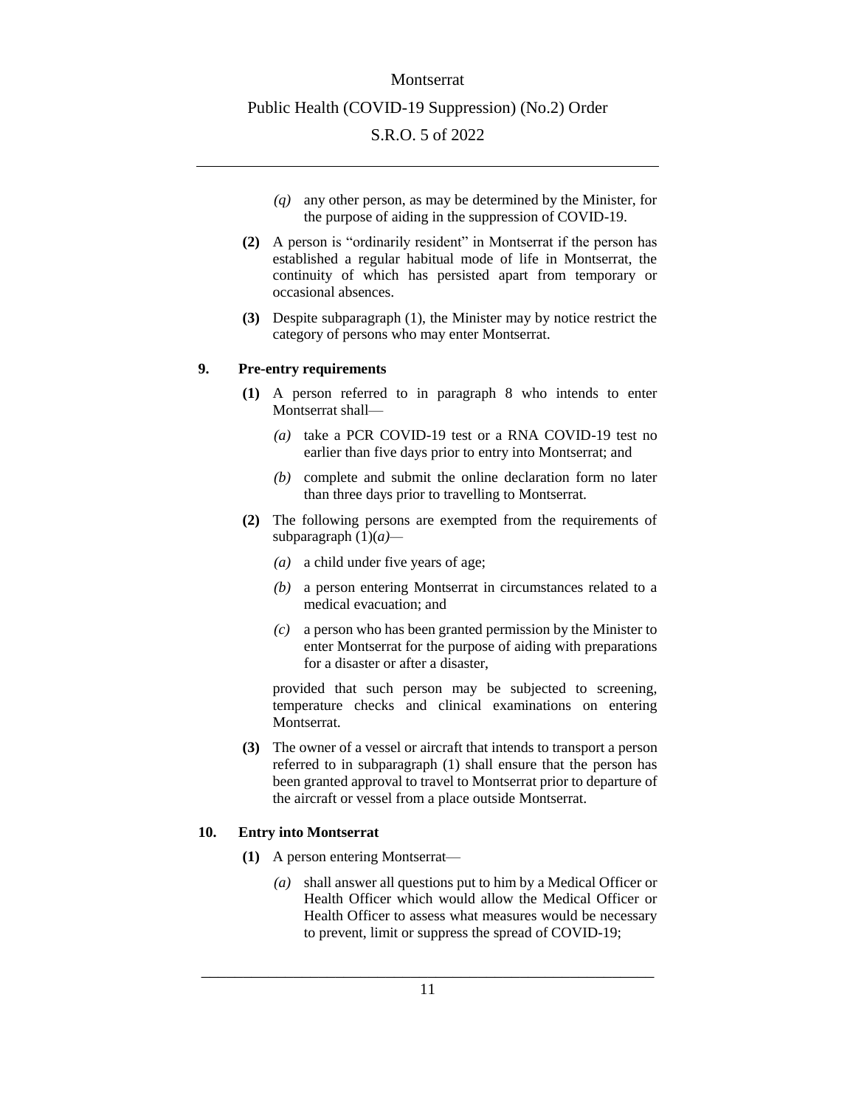- *(q)* any other person, as may be determined by the Minister, for the purpose of aiding in the suppression of COVID-19.
- **(2)** A person is "ordinarily resident" in Montserrat if the person has established a regular habitual mode of life in Montserrat, the continuity of which has persisted apart from temporary or occasional absences.
- **(3)** Despite subparagraph (1), the Minister may by notice restrict the category of persons who may enter Montserrat.

## <span id="page-10-0"></span>**9. Pre-entry requirements**

- **(1)** A person referred to in paragraph 8 who intends to enter Montserrat shall—
	- *(a)* take a PCR COVID-19 test or a RNA COVID-19 test no earlier than five days prior to entry into Montserrat; and
	- *(b)* complete and submit the online declaration form no later than three days prior to travelling to Montserrat.
- **(2)** The following persons are exempted from the requirements of subparagraph (1)(*a)—*
	- *(a)* a child under five years of age;
	- *(b)* a person entering Montserrat in circumstances related to a medical evacuation; and
	- *(c)* a person who has been granted permission by the Minister to enter Montserrat for the purpose of aiding with preparations for a disaster or after a disaster,

provided that such person may be subjected to screening, temperature checks and clinical examinations on entering Montserrat.

**(3)** The owner of a vessel or aircraft that intends to transport a person referred to in subparagraph (1) shall ensure that the person has been granted approval to travel to Montserrat prior to departure of the aircraft or vessel from a place outside Montserrat.

#### <span id="page-10-1"></span>**10. Entry into Montserrat**

- **(1)** A person entering Montserrat—
	- *(a)* shall answer all questions put to him by a Medical Officer or Health Officer which would allow the Medical Officer or Health Officer to assess what measures would be necessary to prevent, limit or suppress the spread of COVID-19;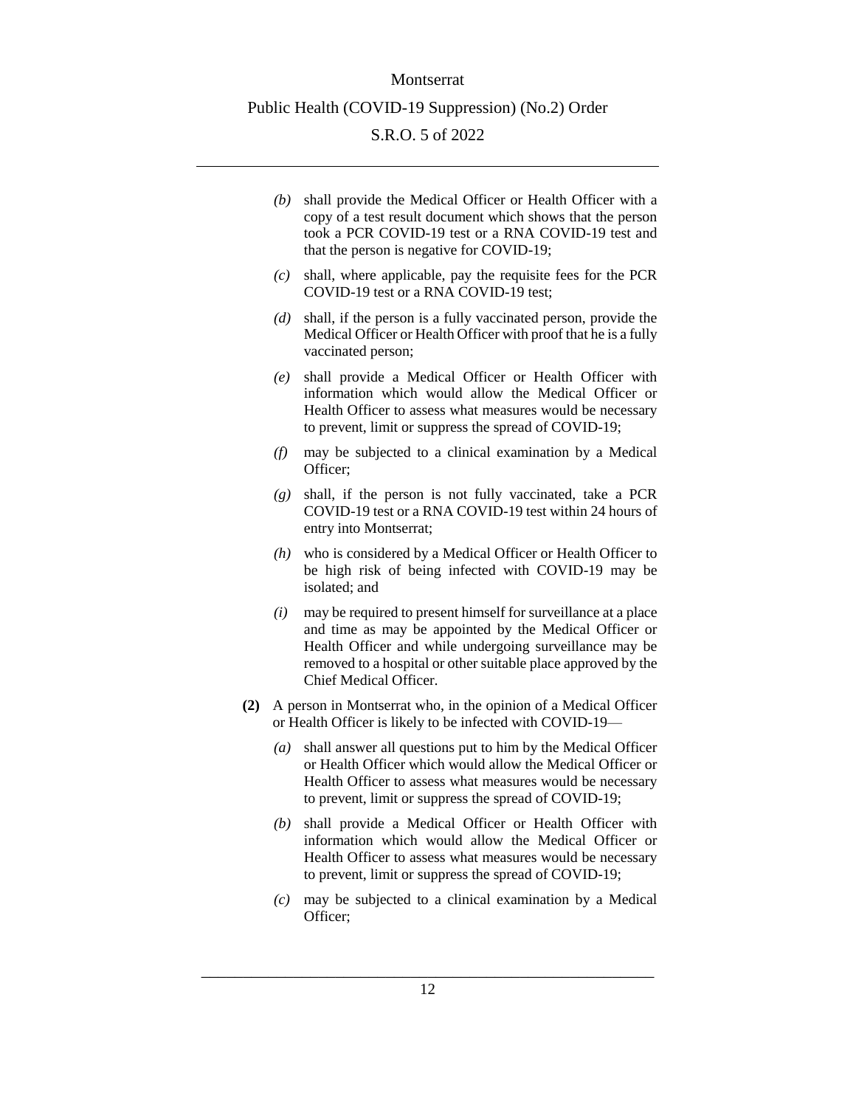*(b)* shall provide the Medical Officer or Health Officer with a copy of a test result document which shows that the person took a PCR COVID-19 test or a RNA COVID-19 test and that the person is negative for COVID-19;

- *(c)* shall, where applicable, pay the requisite fees for the PCR COVID-19 test or a RNA COVID-19 test;
- *(d)* shall, if the person is a fully vaccinated person, provide the Medical Officer or Health Officer with proof that he is a fully vaccinated person;
- *(e)* shall provide a Medical Officer or Health Officer with information which would allow the Medical Officer or Health Officer to assess what measures would be necessary to prevent, limit or suppress the spread of COVID-19;
- *(f)* may be subjected to a clinical examination by a Medical Officer;
- *(g)* shall, if the person is not fully vaccinated, take a PCR COVID-19 test or a RNA COVID-19 test within 24 hours of entry into Montserrat;
- *(h)* who is considered by a Medical Officer or Health Officer to be high risk of being infected with COVID-19 may be isolated; and
- *(i)* may be required to present himself for surveillance at a place and time as may be appointed by the Medical Officer or Health Officer and while undergoing surveillance may be removed to a hospital or other suitable place approved by the Chief Medical Officer.
- **(2)** A person in Montserrat who, in the opinion of a Medical Officer or Health Officer is likely to be infected with COVID-19—
	- *(a)* shall answer all questions put to him by the Medical Officer or Health Officer which would allow the Medical Officer or Health Officer to assess what measures would be necessary to prevent, limit or suppress the spread of COVID-19;
	- *(b)* shall provide a Medical Officer or Health Officer with information which would allow the Medical Officer or Health Officer to assess what measures would be necessary to prevent, limit or suppress the spread of COVID-19;
	- *(c)* may be subjected to a clinical examination by a Medical Officer;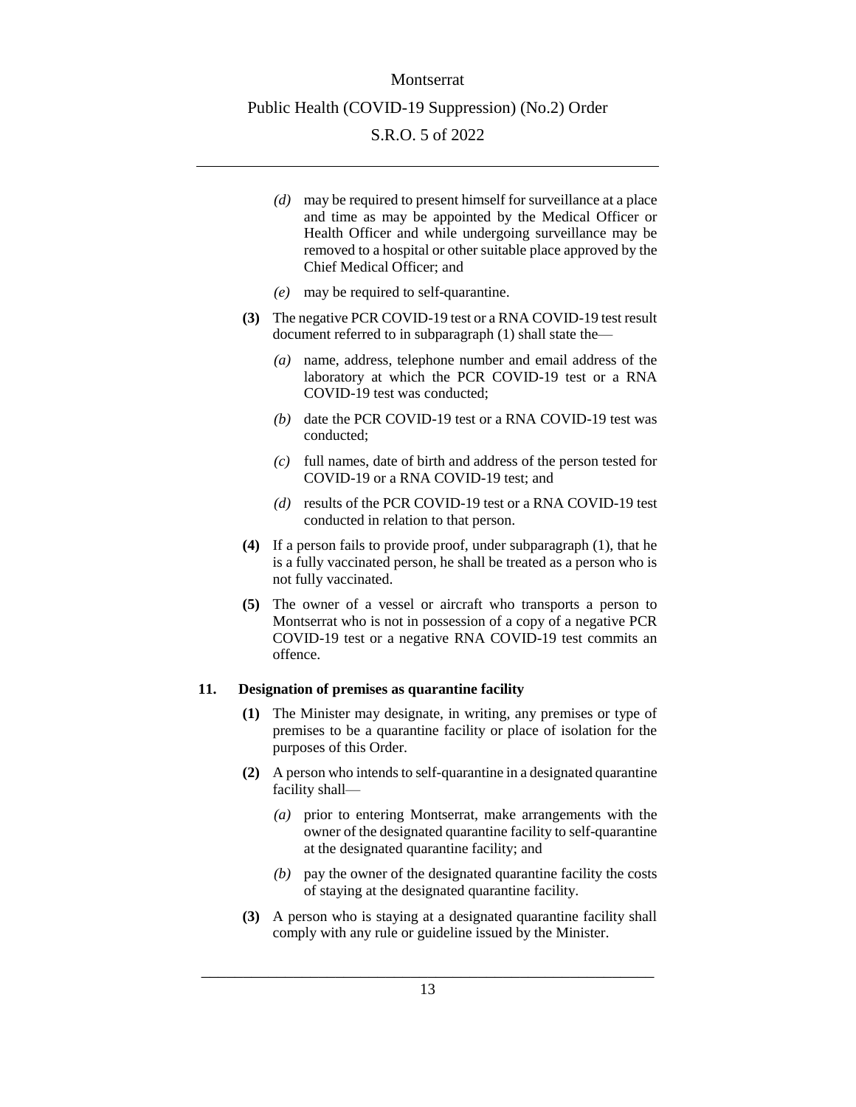- *(d)* may be required to present himself for surveillance at a place and time as may be appointed by the Medical Officer or Health Officer and while undergoing surveillance may be removed to a hospital or other suitable place approved by the Chief Medical Officer; and
- *(e)* may be required to self-quarantine.
- **(3)** The negative PCR COVID-19 test or a RNA COVID-19 test result document referred to in subparagraph (1) shall state the—
	- *(a)* name, address, telephone number and email address of the laboratory at which the PCR COVID-19 test or a RNA COVID-19 test was conducted;
	- *(b)* date the PCR COVID-19 test or a RNA COVID-19 test was conducted;
	- *(c)* full names, date of birth and address of the person tested for COVID-19 or a RNA COVID-19 test; and
	- *(d)* results of the PCR COVID-19 test or a RNA COVID-19 test conducted in relation to that person.
- **(4)** If a person fails to provide proof, under subparagraph (1), that he is a fully vaccinated person, he shall be treated as a person who is not fully vaccinated.
- **(5)** The owner of a vessel or aircraft who transports a person to Montserrat who is not in possession of a copy of a negative PCR COVID-19 test or a negative RNA COVID-19 test commits an offence.

#### <span id="page-12-0"></span>**11. Designation of premises as quarantine facility**

- **(1)** The Minister may designate, in writing, any premises or type of premises to be a quarantine facility or place of isolation for the purposes of this Order.
- **(2)** A person who intends to self-quarantine in a designated quarantine facility shall—
	- *(a)* prior to entering Montserrat, make arrangements with the owner of the designated quarantine facility to self-quarantine at the designated quarantine facility; and
	- *(b)* pay the owner of the designated quarantine facility the costs of staying at the designated quarantine facility.
- **(3)** A person who is staying at a designated quarantine facility shall comply with any rule or guideline issued by the Minister.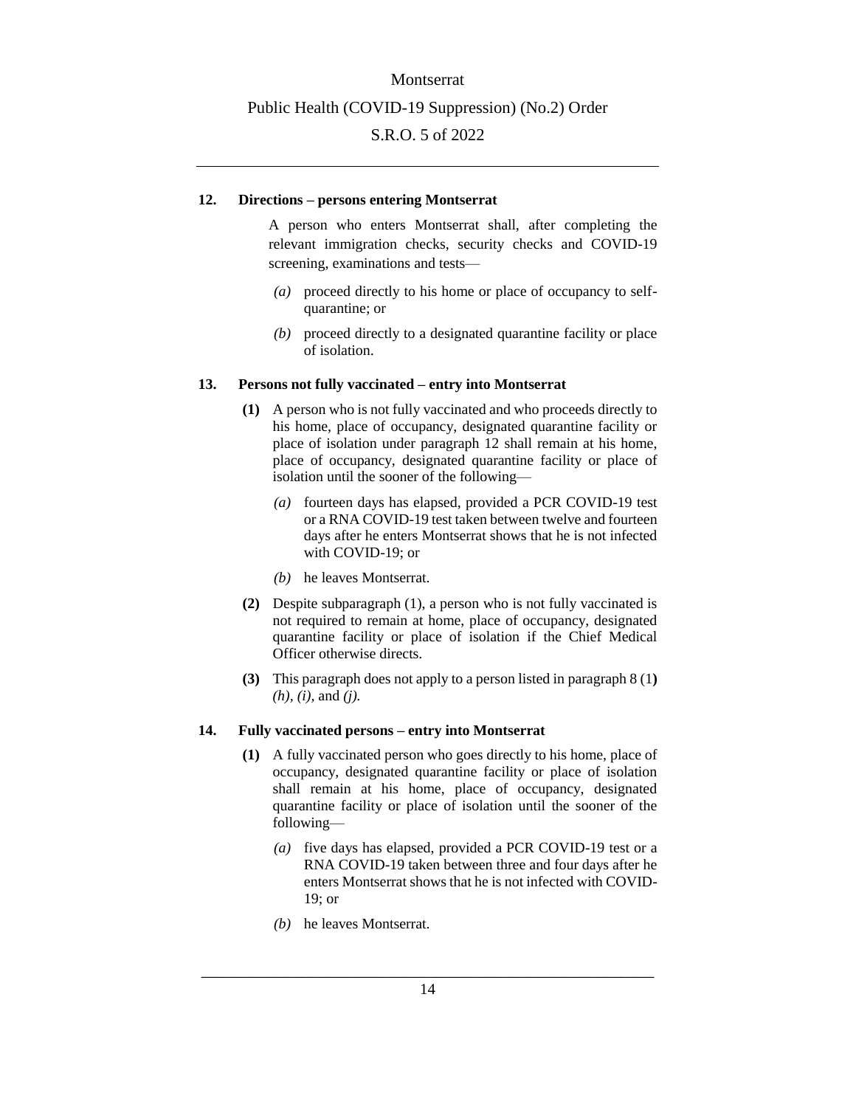#### <span id="page-13-0"></span>**12. Directions – persons entering Montserrat**

A person who enters Montserrat shall, after completing the relevant immigration checks, security checks and COVID-19 screening, examinations and tests—

- *(a)* proceed directly to his home or place of occupancy to selfquarantine; or
- *(b)* proceed directly to a designated quarantine facility or place of isolation.

#### <span id="page-13-1"></span>**13. Persons not fully vaccinated – entry into Montserrat**

- **(1)** A person who is not fully vaccinated and who proceeds directly to his home, place of occupancy, designated quarantine facility or place of isolation under paragraph 12 shall remain at his home, place of occupancy, designated quarantine facility or place of isolation until the sooner of the following—
	- *(a)* fourteen days has elapsed, provided a PCR COVID-19 test or a RNA COVID-19 test taken between twelve and fourteen days after he enters Montserrat shows that he is not infected with COVID-19; or
	- *(b)* he leaves Montserrat.
- **(2)** Despite subparagraph (1), a person who is not fully vaccinated is not required to remain at home, place of occupancy, designated quarantine facility or place of isolation if the Chief Medical Officer otherwise directs.
- **(3)** This paragraph does not apply to a person listed in paragraph 8 (1**)** *(h), (i),* and *(j).*

#### <span id="page-13-2"></span>**14. Fully vaccinated persons – entry into Montserrat**

- **(1)** A fully vaccinated person who goes directly to his home, place of occupancy, designated quarantine facility or place of isolation shall remain at his home, place of occupancy, designated quarantine facility or place of isolation until the sooner of the following—
	- *(a)* five days has elapsed, provided a PCR COVID-19 test or a RNA COVID-19 taken between three and four days after he enters Montserrat shows that he is not infected with COVID-19; or
	- *(b)* he leaves Montserrat.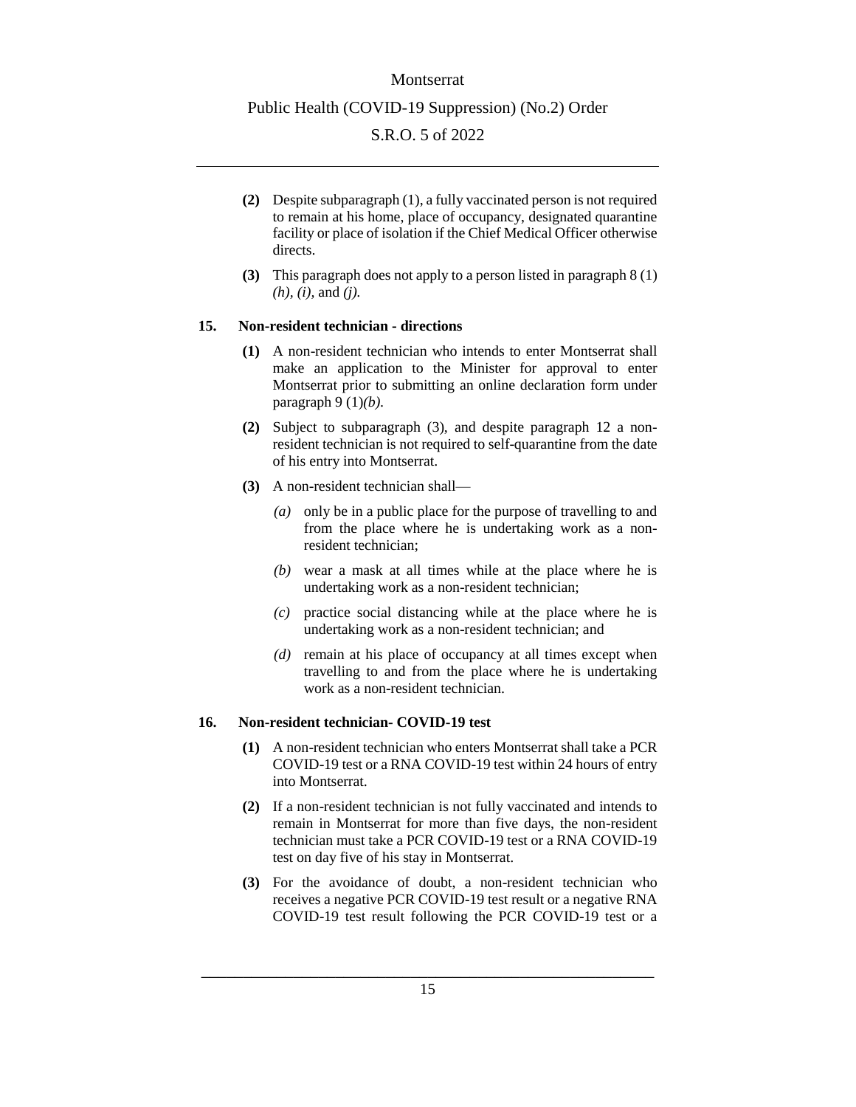#### Montserrat

#### Public Health (COVID-19 Suppression) (No.2) Order

## S.R.O. 5 of 2022

- **(2)** Despite subparagraph (1), a fully vaccinated person is not required to remain at his home, place of occupancy, designated quarantine facility or place of isolation if the Chief Medical Officer otherwise directs.
- **(3)** This paragraph does not apply to a person listed in paragraph 8 (1) *(h), (i),* and *(j).*

#### <span id="page-14-0"></span>**15. Non-resident technician - directions**

- **(1)** A non-resident technician who intends to enter Montserrat shall make an application to the Minister for approval to enter Montserrat prior to submitting an online declaration form under paragraph 9 (1)*(b).*
- **(2)** Subject to subparagraph (3), and despite paragraph 12 a nonresident technician is not required to self-quarantine from the date of his entry into Montserrat.
- **(3)** A non-resident technician shall—
	- *(a)* only be in a public place for the purpose of travelling to and from the place where he is undertaking work as a nonresident technician;
	- *(b)* wear a mask at all times while at the place where he is undertaking work as a non-resident technician;
	- *(c)* practice social distancing while at the place where he is undertaking work as a non-resident technician; and
	- *(d)* remain at his place of occupancy at all times except when travelling to and from the place where he is undertaking work as a non-resident technician.

### <span id="page-14-1"></span>**16. Non-resident technician- COVID-19 test**

- **(1)** A non-resident technician who enters Montserrat shall take a PCR COVID-19 test or a RNA COVID-19 test within 24 hours of entry into Montserrat.
- **(2)** If a non-resident technician is not fully vaccinated and intends to remain in Montserrat for more than five days, the non-resident technician must take a PCR COVID-19 test or a RNA COVID-19 test on day five of his stay in Montserrat.
- **(3)** For the avoidance of doubt, a non-resident technician who receives a negative PCR COVID-19 test result or a negative RNA COVID-19 test result following the PCR COVID-19 test or a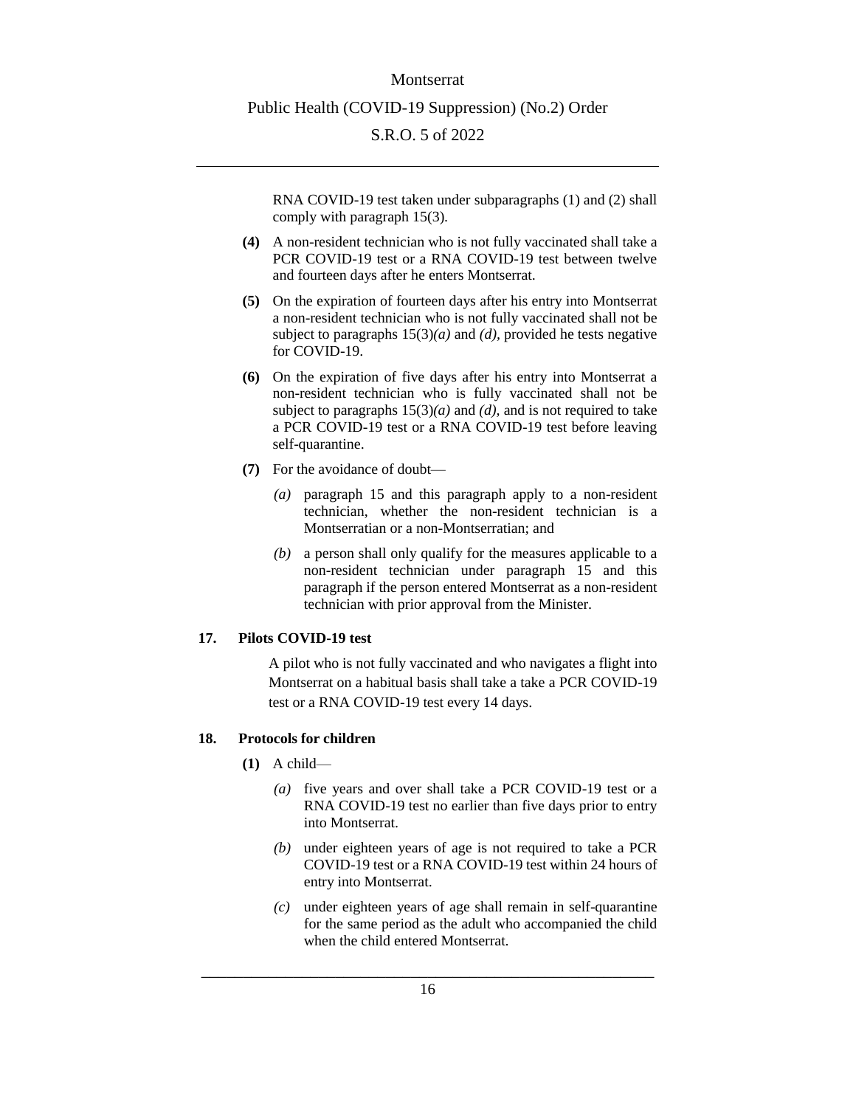RNA COVID-19 test taken under subparagraphs (1) and (2) shall comply with paragraph 15(3).

- **(4)** A non-resident technician who is not fully vaccinated shall take a PCR COVID-19 test or a RNA COVID-19 test between twelve and fourteen days after he enters Montserrat.
- **(5)** On the expiration of fourteen days after his entry into Montserrat a non-resident technician who is not fully vaccinated shall not be subject to paragraphs 15(3)*(a)* and *(d),* provided he tests negative for COVID-19.
- **(6)** On the expiration of five days after his entry into Montserrat a non-resident technician who is fully vaccinated shall not be subject to paragraphs  $15(3)(a)$  and *(d)*, and is not required to take a PCR COVID-19 test or a RNA COVID-19 test before leaving self-quarantine.
- **(7)** For the avoidance of doubt—
	- *(a)* paragraph 15 and this paragraph apply to a non-resident technician, whether the non-resident technician is a Montserratian or a non-Montserratian; and
	- *(b)* a person shall only qualify for the measures applicable to a non-resident technician under paragraph 15 and this paragraph if the person entered Montserrat as a non-resident technician with prior approval from the Minister.

## <span id="page-15-0"></span>**17. Pilots COVID-19 test**

A pilot who is not fully vaccinated and who navigates a flight into Montserrat on a habitual basis shall take a take a PCR COVID-19 test or a RNA COVID-19 test every 14 days.

## <span id="page-15-1"></span>**18. Protocols for children**

- **(1)** A child—
	- *(a)* five years and over shall take a PCR COVID-19 test or a RNA COVID-19 test no earlier than five days prior to entry into Montserrat.
	- *(b)* under eighteen years of age is not required to take a PCR COVID-19 test or a RNA COVID-19 test within 24 hours of entry into Montserrat.
	- *(c)* under eighteen years of age shall remain in self-quarantine for the same period as the adult who accompanied the child when the child entered Montserrat.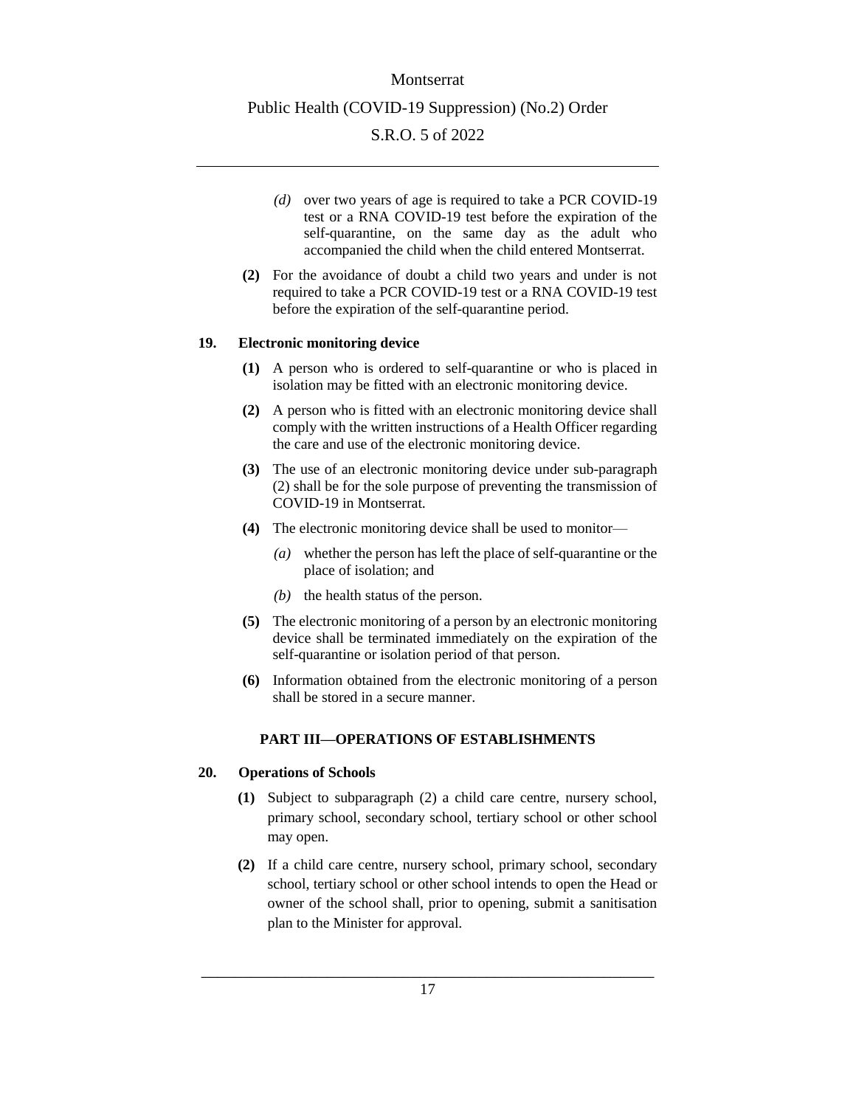- *(d)* over two years of age is required to take a PCR COVID-19 test or a RNA COVID-19 test before the expiration of the self-quarantine, on the same day as the adult who accompanied the child when the child entered Montserrat.
- **(2)** For the avoidance of doubt a child two years and under is not required to take a PCR COVID-19 test or a RNA COVID-19 test before the expiration of the self-quarantine period.

#### <span id="page-16-0"></span>**19. Electronic monitoring device**

- **(1)** A person who is ordered to self-quarantine or who is placed in isolation may be fitted with an electronic monitoring device.
- **(2)** A person who is fitted with an electronic monitoring device shall comply with the written instructions of a Health Officer regarding the care and use of the electronic monitoring device.
- **(3)** The use of an electronic monitoring device under sub-paragraph (2) shall be for the sole purpose of preventing the transmission of COVID-19 in Montserrat.
- **(4)** The electronic monitoring device shall be used to monitor—
	- *(a)* whether the person has left the place of self-quarantine or the place of isolation; and
	- *(b)* the health status of the person.
- **(5)** The electronic monitoring of a person by an electronic monitoring device shall be terminated immediately on the expiration of the self-quarantine or isolation period of that person.
- **(6)** Information obtained from the electronic monitoring of a person shall be stored in a secure manner.

#### **PART III—OPERATIONS OF ESTABLISHMENTS**

#### <span id="page-16-2"></span><span id="page-16-1"></span>**20. Operations of Schools**

- **(1)** Subject to subparagraph (2) a child care centre, nursery school, primary school, secondary school, tertiary school or other school may open.
- **(2)** If a child care centre, nursery school, primary school, secondary school, tertiary school or other school intends to open the Head or owner of the school shall, prior to opening, submit a sanitisation plan to the Minister for approval.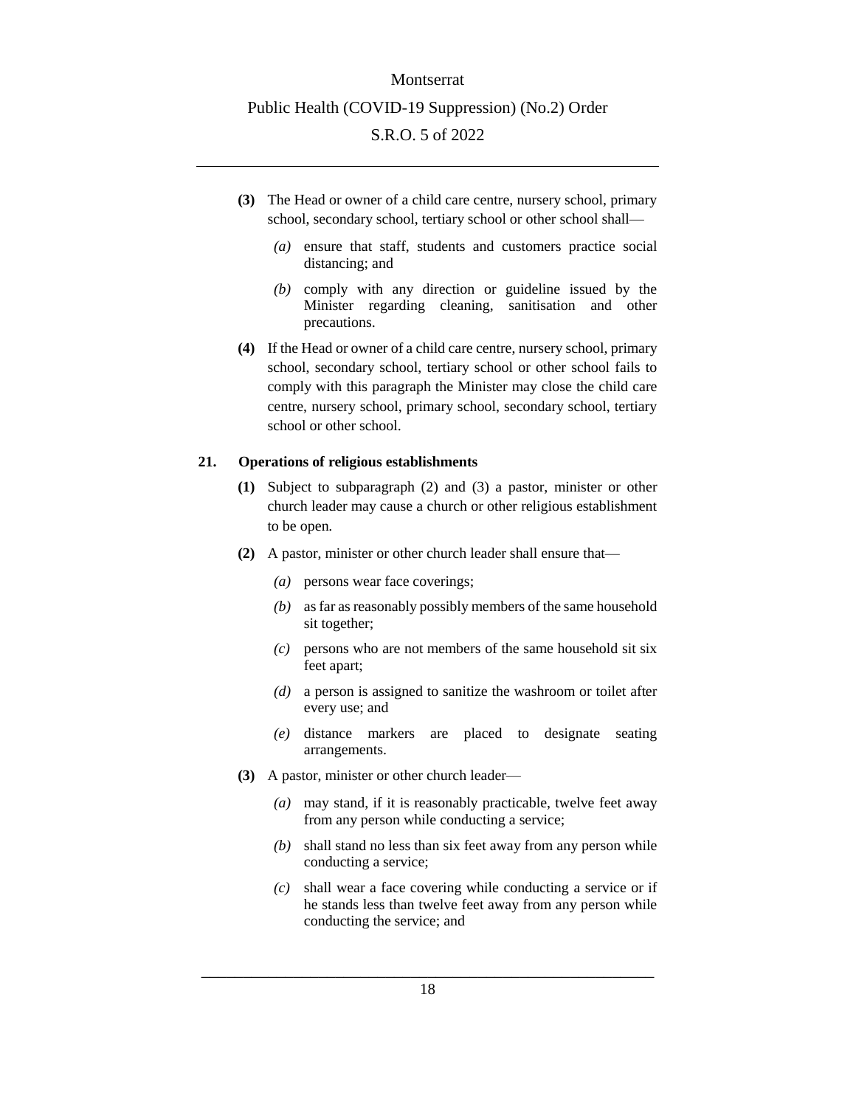- **(3)** The Head or owner of a child care centre, nursery school, primary school, secondary school, tertiary school or other school shall—
	- *(a)* ensure that staff, students and customers practice social distancing; and
	- *(b)* comply with any direction or guideline issued by the Minister regarding cleaning, sanitisation and other precautions.
- **(4)** If the Head or owner of a child care centre, nursery school, primary school, secondary school, tertiary school or other school fails to comply with this paragraph the Minister may close the child care centre, nursery school, primary school, secondary school, tertiary school or other school.

#### <span id="page-17-0"></span>**21. Operations of religious establishments**

- **(1)** Subject to subparagraph (2) and (3) a pastor, minister or other church leader may cause a church or other religious establishment to be open.
- **(2)** A pastor, minister or other church leader shall ensure that—
	- *(a)* persons wear face coverings;
	- *(b)* as far as reasonably possibly members of the same household sit together;
	- *(c)* persons who are not members of the same household sit six feet apart;
	- *(d)* a person is assigned to sanitize the washroom or toilet after every use; and
	- *(e)* distance markers are placed to designate seating arrangements.
- **(3)** A pastor, minister or other church leader—
	- *(a)* may stand, if it is reasonably practicable, twelve feet away from any person while conducting a service;
	- *(b)* shall stand no less than six feet away from any person while conducting a service;
	- *(c)* shall wear a face covering while conducting a service or if he stands less than twelve feet away from any person while conducting the service; and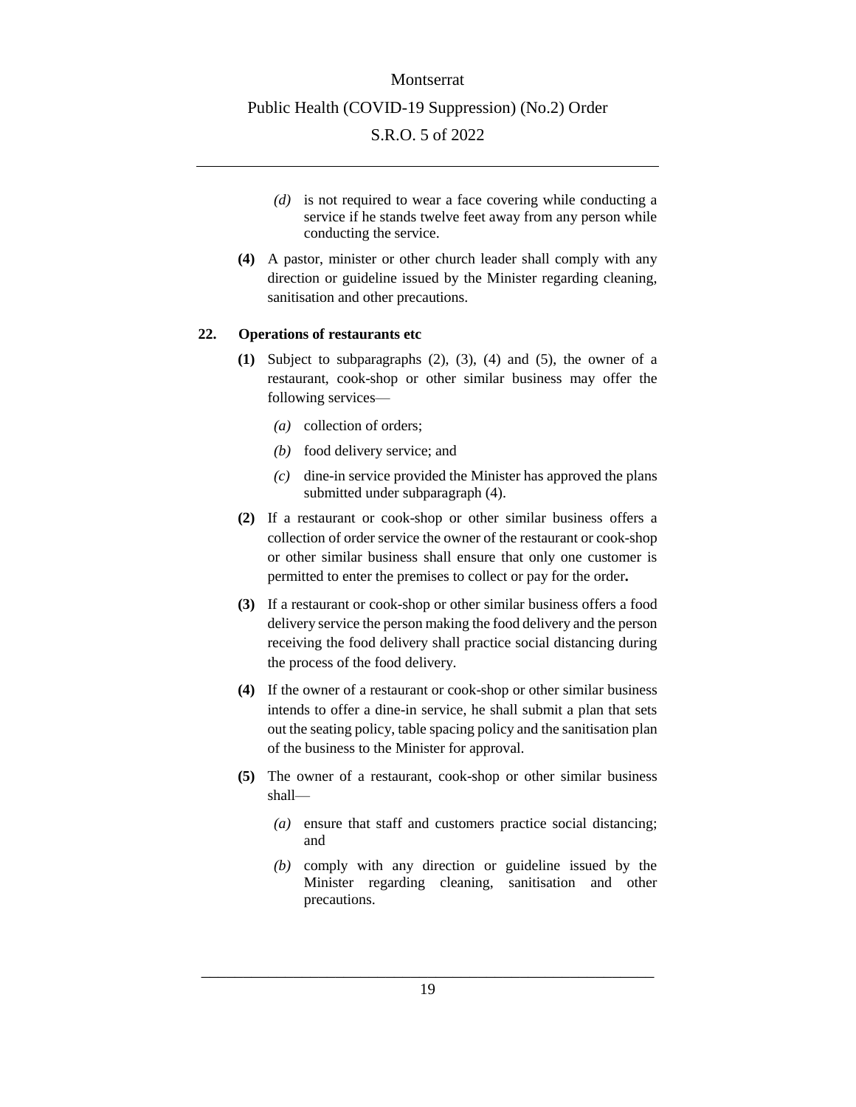- *(d)* is not required to wear a face covering while conducting a service if he stands twelve feet away from any person while conducting the service.
- **(4)** A pastor, minister or other church leader shall comply with any direction or guideline issued by the Minister regarding cleaning, sanitisation and other precautions.

### <span id="page-18-0"></span>**22. Operations of restaurants etc**

- **(1)** Subject to subparagraphs (2), (3), (4) and (5), the owner of a restaurant, cook-shop or other similar business may offer the following services—
	- *(a)* collection of orders;
	- *(b)* food delivery service; and
	- *(c)* dine-in service provided the Minister has approved the plans submitted under subparagraph (4).
- **(2)** If a restaurant or cook-shop or other similar business offers a collection of order service the owner of the restaurant or cook-shop or other similar business shall ensure that only one customer is permitted to enter the premises to collect or pay for the order**.**
- **(3)** If a restaurant or cook-shop or other similar business offers a food delivery service the person making the food delivery and the person receiving the food delivery shall practice social distancing during the process of the food delivery.
- **(4)** If the owner of a restaurant or cook-shop or other similar business intends to offer a dine-in service, he shall submit a plan that sets out the seating policy, table spacing policy and the sanitisation plan of the business to the Minister for approval.
- **(5)** The owner of a restaurant, cook-shop or other similar business shall—
	- *(a)* ensure that staff and customers practice social distancing; and
	- *(b)* comply with any direction or guideline issued by the Minister regarding cleaning, sanitisation and other precautions.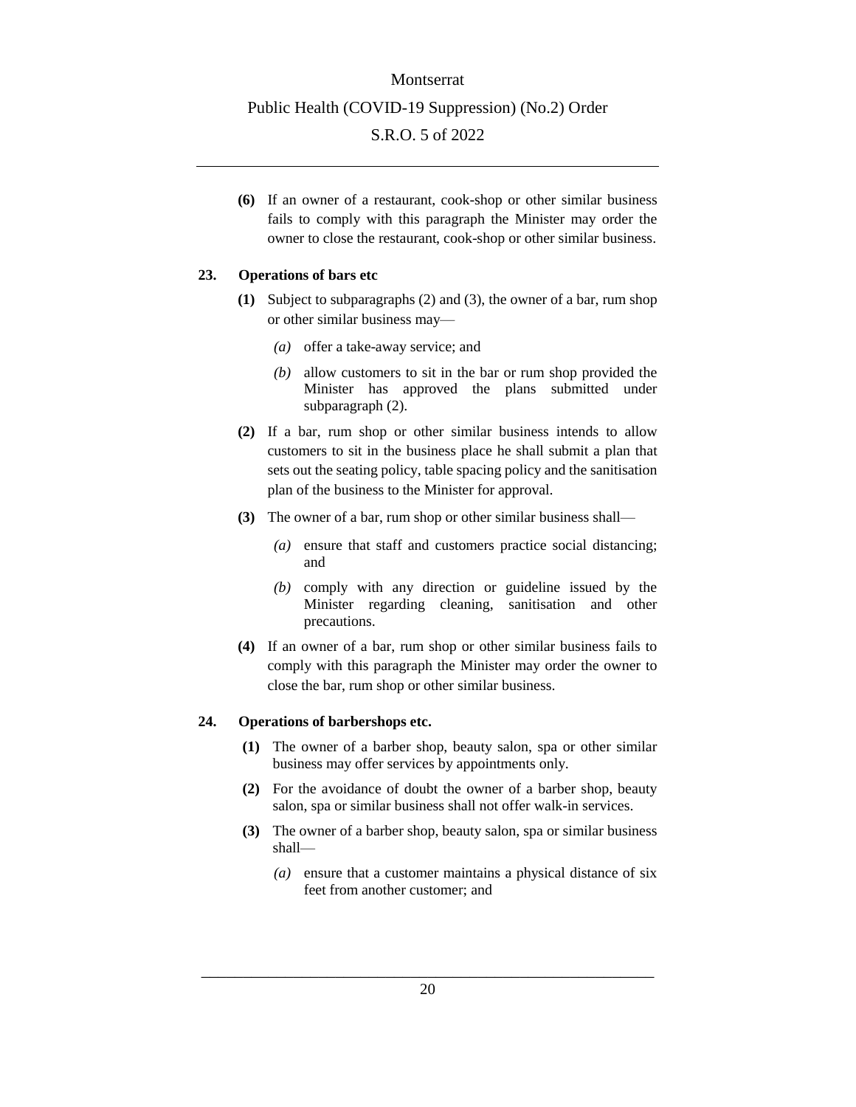**(6)** If an owner of a restaurant, cook-shop or other similar business fails to comply with this paragraph the Minister may order the owner to close the restaurant, cook-shop or other similar business.

#### <span id="page-19-0"></span>**23. Operations of bars etc**

- **(1)** Subject to subparagraphs (2) and (3), the owner of a bar, rum shop or other similar business may—
	- *(a)* offer a take-away service; and
	- *(b)* allow customers to sit in the bar or rum shop provided the Minister has approved the plans submitted under subparagraph (2).
- **(2)** If a bar, rum shop or other similar business intends to allow customers to sit in the business place he shall submit a plan that sets out the seating policy, table spacing policy and the sanitisation plan of the business to the Minister for approval.
- **(3)** The owner of a bar, rum shop or other similar business shall—
	- *(a)* ensure that staff and customers practice social distancing; and
	- *(b)* comply with any direction or guideline issued by the Minister regarding cleaning, sanitisation and other precautions.
- **(4)** If an owner of a bar, rum shop or other similar business fails to comply with this paragraph the Minister may order the owner to close the bar, rum shop or other similar business.

#### <span id="page-19-1"></span>**24. Operations of barbershops etc.**

- **(1)** The owner of a barber shop, beauty salon, spa or other similar business may offer services by appointments only.
- **(2)** For the avoidance of doubt the owner of a barber shop, beauty salon, spa or similar business shall not offer walk-in services.
- **(3)** The owner of a barber shop, beauty salon, spa or similar business shall—
	- *(a)* ensure that a customer maintains a physical distance of six feet from another customer; and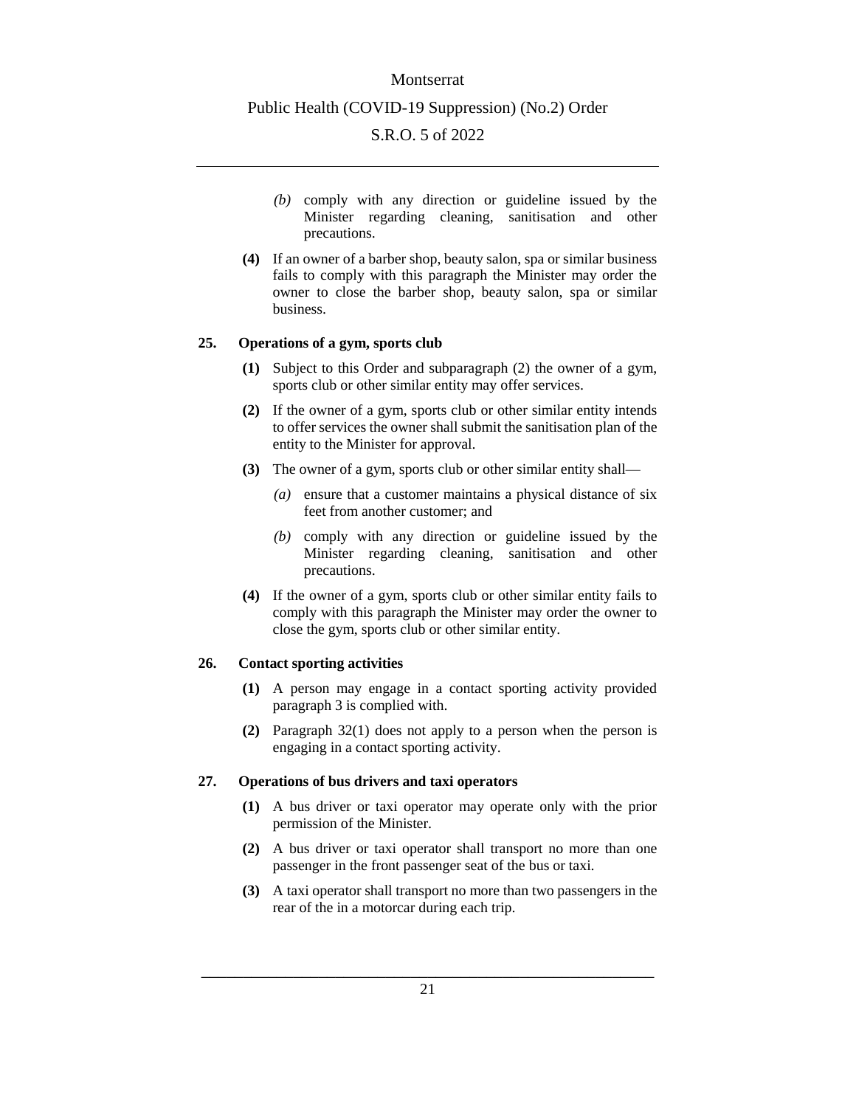#### Montserrat

#### Public Health (COVID-19 Suppression) (No.2) Order

### S.R.O. 5 of 2022

- *(b)* comply with any direction or guideline issued by the Minister regarding cleaning, sanitisation and other precautions.
- **(4)** If an owner of a barber shop, beauty salon, spa or similar business fails to comply with this paragraph the Minister may order the owner to close the barber shop, beauty salon, spa or similar business.

#### <span id="page-20-0"></span>**25. Operations of a gym, sports club**

- **(1)** Subject to this Order and subparagraph (2) the owner of a gym, sports club or other similar entity may offer services.
- **(2)** If the owner of a gym, sports club or other similar entity intends to offer services the owner shall submit the sanitisation plan of the entity to the Minister for approval.
- **(3)** The owner of a gym, sports club or other similar entity shall—
	- *(a)* ensure that a customer maintains a physical distance of six feet from another customer; and
	- *(b)* comply with any direction or guideline issued by the Minister regarding cleaning, sanitisation and other precautions.
- **(4)** If the owner of a gym, sports club or other similar entity fails to comply with this paragraph the Minister may order the owner to close the gym, sports club or other similar entity.

#### <span id="page-20-1"></span>**26. Contact sporting activities**

- **(1)** A person may engage in a contact sporting activity provided paragraph 3 is complied with.
- **(2)** Paragraph 32(1) does not apply to a person when the person is engaging in a contact sporting activity.

#### <span id="page-20-2"></span>**27. Operations of bus drivers and taxi operators**

- **(1)** A bus driver or taxi operator may operate only with the prior permission of the Minister.
- **(2)** A bus driver or taxi operator shall transport no more than one passenger in the front passenger seat of the bus or taxi.
- **(3)** A taxi operator shall transport no more than two passengers in the rear of the in a motorcar during each trip.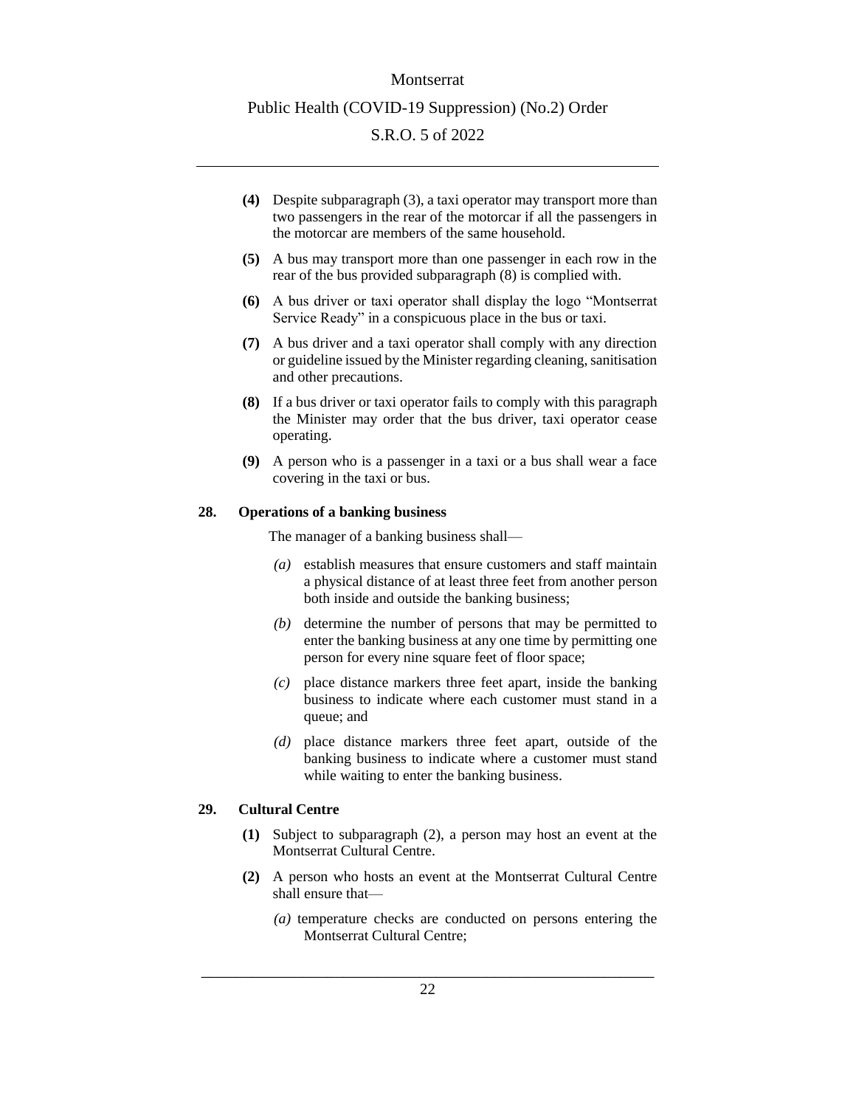- **(4)** Despite subparagraph (3), a taxi operator may transport more than two passengers in the rear of the motorcar if all the passengers in the motorcar are members of the same household.
- **(5)** A bus may transport more than one passenger in each row in the rear of the bus provided subparagraph (8) is complied with.
- **(6)** A bus driver or taxi operator shall display the logo "Montserrat Service Ready" in a conspicuous place in the bus or taxi.
- **(7)** A bus driver and a taxi operator shall comply with any direction or guideline issued by the Minister regarding cleaning, sanitisation and other precautions.
- **(8)** If a bus driver or taxi operator fails to comply with this paragraph the Minister may order that the bus driver, taxi operator cease operating.
- **(9)** A person who is a passenger in a taxi or a bus shall wear a face covering in the taxi or bus.

#### <span id="page-21-0"></span>**28. Operations of a banking business**

The manager of a banking business shall—

- *(a)* establish measures that ensure customers and staff maintain a physical distance of at least three feet from another person both inside and outside the banking business;
- *(b)* determine the number of persons that may be permitted to enter the banking business at any one time by permitting one person for every nine square feet of floor space;
- *(c)* place distance markers three feet apart, inside the banking business to indicate where each customer must stand in a queue; and
- *(d)* place distance markers three feet apart, outside of the banking business to indicate where a customer must stand while waiting to enter the banking business.

### <span id="page-21-1"></span>**29. Cultural Centre**

- **(1)** Subject to subparagraph (2), a person may host an event at the Montserrat Cultural Centre.
- **(2)** A person who hosts an event at the Montserrat Cultural Centre shall ensure that—
	- *(a)* temperature checks are conducted on persons entering the Montserrat Cultural Centre;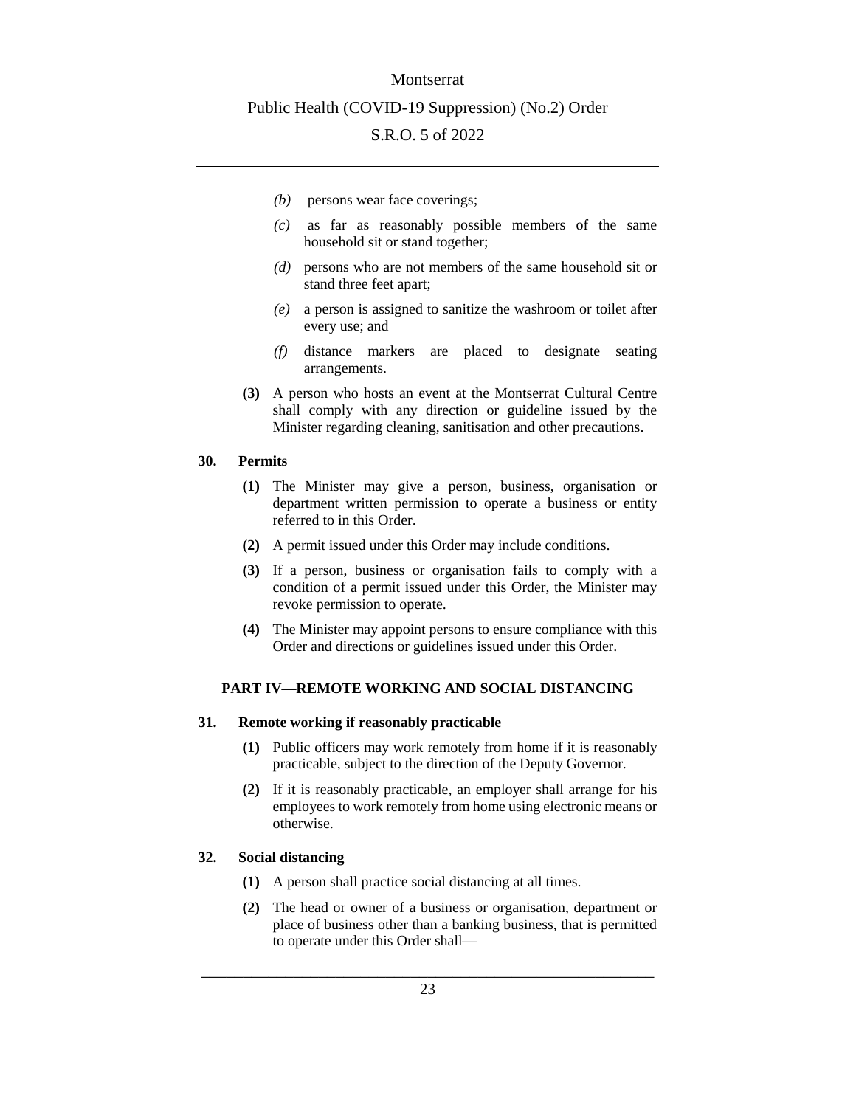#### Montserrat

#### Public Health (COVID-19 Suppression) (No.2) Order

## S.R.O. 5 of 2022

- *(b)* persons wear face coverings;
- *(c)* as far as reasonably possible members of the same household sit or stand together;
- *(d)* persons who are not members of the same household sit or stand three feet apart;
- *(e)* a person is assigned to sanitize the washroom or toilet after every use; and
- *(f)* distance markers are placed to designate seating arrangements.
- **(3)** A person who hosts an event at the Montserrat Cultural Centre shall comply with any direction or guideline issued by the Minister regarding cleaning, sanitisation and other precautions.

#### <span id="page-22-0"></span>**30. Permits**

- **(1)** The Minister may give a person, business, organisation or department written permission to operate a business or entity referred to in this Order.
- **(2)** A permit issued under this Order may include conditions.
- **(3)** If a person, business or organisation fails to comply with a condition of a permit issued under this Order, the Minister may revoke permission to operate.
- **(4)** The Minister may appoint persons to ensure compliance with this Order and directions or guidelines issued under this Order.

### <span id="page-22-1"></span>**PART IV—REMOTE WORKING AND SOCIAL DISTANCING**

#### <span id="page-22-2"></span>**31. Remote working if reasonably practicable**

- **(1)** Public officers may work remotely from home if it is reasonably practicable, subject to the direction of the Deputy Governor.
- **(2)** If it is reasonably practicable, an employer shall arrange for his employees to work remotely from home using electronic means or otherwise.

#### <span id="page-22-3"></span>**32. Social distancing**

- **(1)** A person shall practice social distancing at all times.
- **(2)** The head or owner of a business or organisation, department or place of business other than a banking business, that is permitted to operate under this Order shall—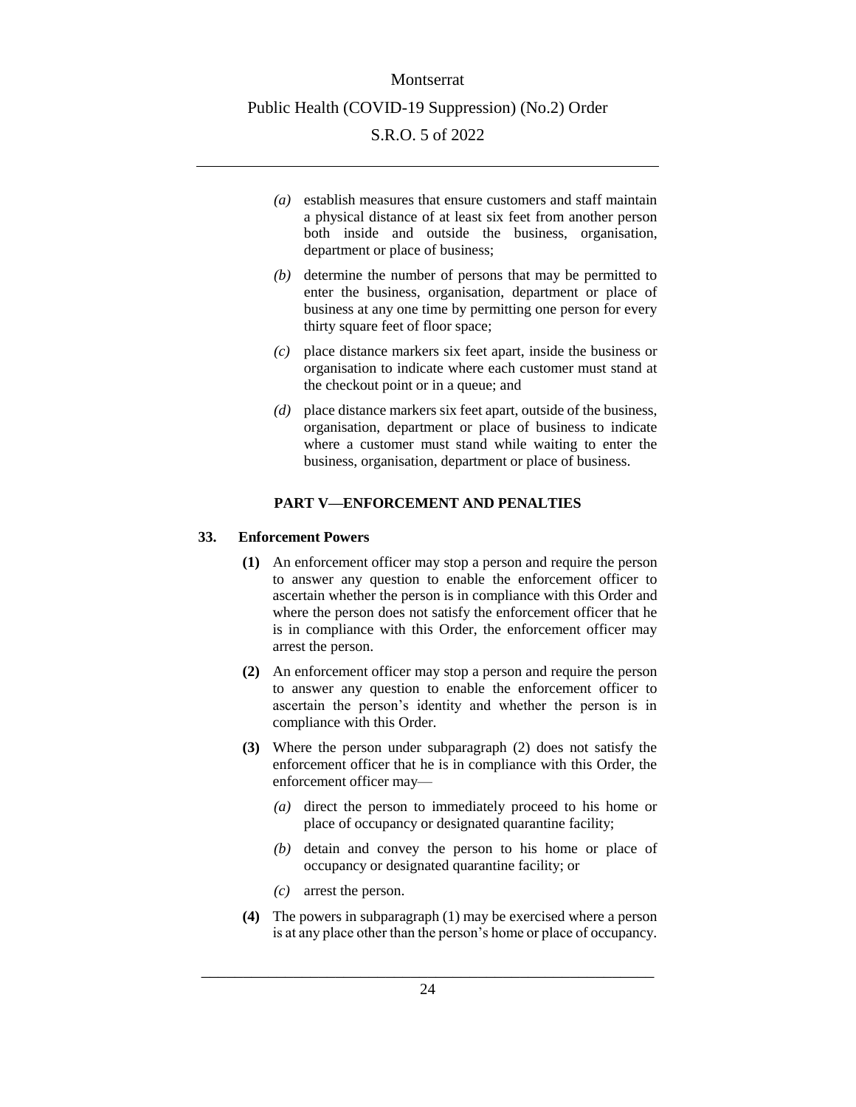- *(a)* establish measures that ensure customers and staff maintain a physical distance of at least six feet from another person both inside and outside the business, organisation, department or place of business;
- *(b)* determine the number of persons that may be permitted to enter the business, organisation, department or place of business at any one time by permitting one person for every thirty square feet of floor space;
- *(c)* place distance markers six feet apart, inside the business or organisation to indicate where each customer must stand at the checkout point or in a queue; and
- *(d)* place distance markers six feet apart, outside of the business, organisation, department or place of business to indicate where a customer must stand while waiting to enter the business, organisation, department or place of business.

## **PART V—ENFORCEMENT AND PENALTIES**

#### <span id="page-23-1"></span><span id="page-23-0"></span>**33. Enforcement Powers**

- **(1)** An enforcement officer may stop a person and require the person to answer any question to enable the enforcement officer to ascertain whether the person is in compliance with this Order and where the person does not satisfy the enforcement officer that he is in compliance with this Order, the enforcement officer may arrest the person.
- **(2)** An enforcement officer may stop a person and require the person to answer any question to enable the enforcement officer to ascertain the person's identity and whether the person is in compliance with this Order.
- **(3)** Where the person under subparagraph (2) does not satisfy the enforcement officer that he is in compliance with this Order, the enforcement officer may—
	- *(a)* direct the person to immediately proceed to his home or place of occupancy or designated quarantine facility;
	- *(b)* detain and convey the person to his home or place of occupancy or designated quarantine facility; or
	- *(c)* arrest the person.
- **(4)** The powers in subparagraph (1) may be exercised where a person is at any place other than the person's home or place of occupancy.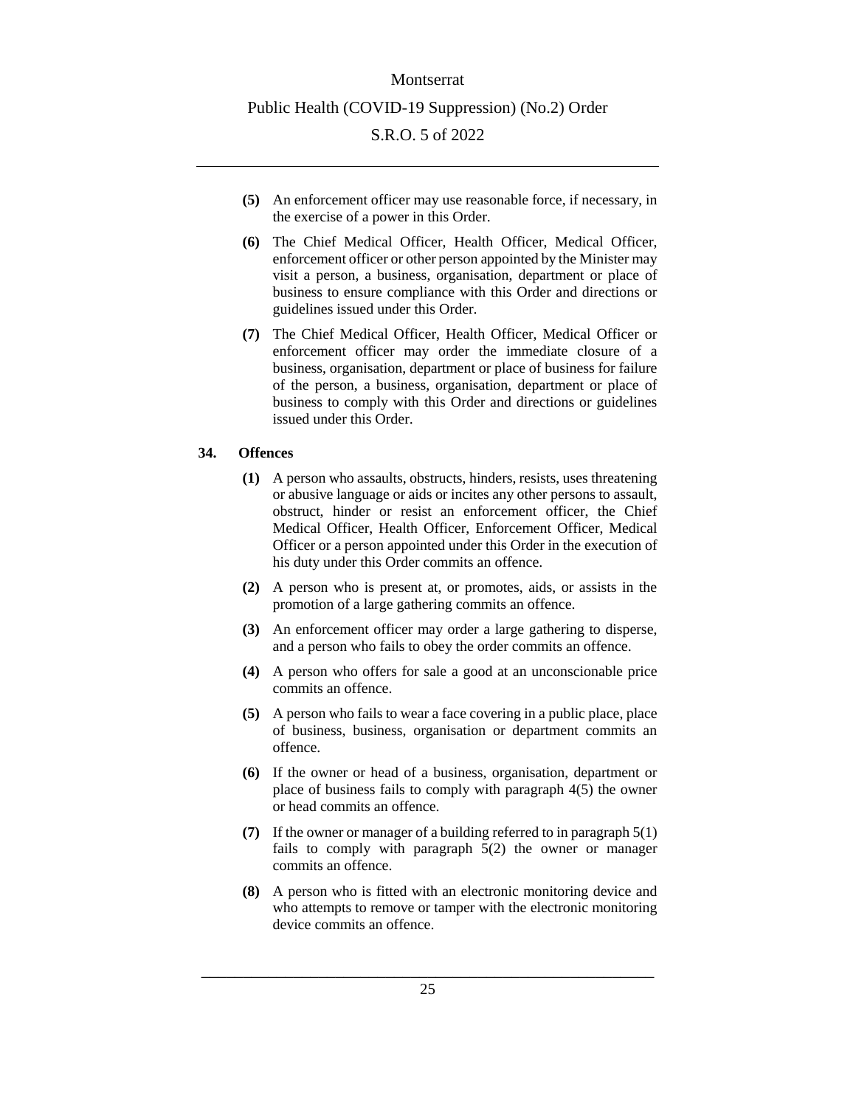- **(5)** An enforcement officer may use reasonable force, if necessary, in the exercise of a power in this Order.
- **(6)** The Chief Medical Officer, Health Officer, Medical Officer, enforcement officer or other person appointed by the Minister may visit a person, a business, organisation, department or place of business to ensure compliance with this Order and directions or guidelines issued under this Order.
- **(7)** The Chief Medical Officer, Health Officer, Medical Officer or enforcement officer may order the immediate closure of a business, organisation, department or place of business for failure of the person, a business, organisation, department or place of business to comply with this Order and directions or guidelines issued under this Order.

## <span id="page-24-0"></span>**34. Offences**

- **(1)** A person who assaults, obstructs, hinders, resists, uses threatening or abusive language or aids or incites any other persons to assault, obstruct, hinder or resist an enforcement officer, the Chief Medical Officer, Health Officer, Enforcement Officer, Medical Officer or a person appointed under this Order in the execution of his duty under this Order commits an offence.
- **(2)** A person who is present at, or promotes, aids, or assists in the promotion of a large gathering commits an offence.
- **(3)** An enforcement officer may order a large gathering to disperse, and a person who fails to obey the order commits an offence.
- **(4)** A person who offers for sale a good at an unconscionable price commits an offence.
- **(5)** A person who fails to wear a face covering in a public place, place of business, business, organisation or department commits an offence.
- **(6)** If the owner or head of a business, organisation, department or place of business fails to comply with paragraph 4(5) the owner or head commits an offence.
- **(7)** If the owner or manager of a building referred to in paragraph 5(1) fails to comply with paragraph 5(2) the owner or manager commits an offence.
- **(8)** A person who is fitted with an electronic monitoring device and who attempts to remove or tamper with the electronic monitoring device commits an offence.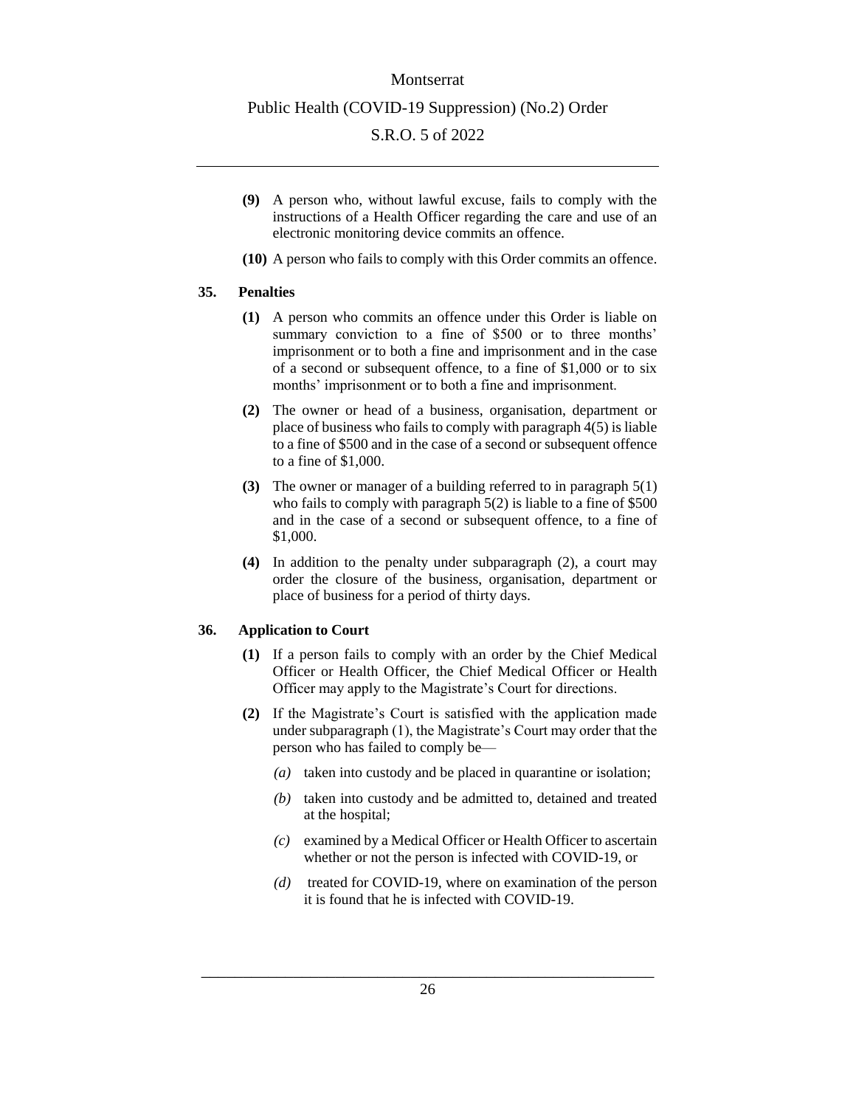## Montserrat

#### Public Health (COVID-19 Suppression) (No.2) Order

## S.R.O. 5 of 2022

- **(9)** A person who, without lawful excuse, fails to comply with the instructions of a Health Officer regarding the care and use of an electronic monitoring device commits an offence.
- **(10)** A person who fails to comply with this Order commits an offence.

#### <span id="page-25-0"></span>**35. Penalties**

- **(1)** A person who commits an offence under this Order is liable on summary conviction to a fine of \$500 or to three months' imprisonment or to both a fine and imprisonment and in the case of a second or subsequent offence, to a fine of \$1,000 or to six months' imprisonment or to both a fine and imprisonment.
- **(2)** The owner or head of a business, organisation, department or place of business who fails to comply with paragraph 4(5) is liable to a fine of \$500 and in the case of a second or subsequent offence to a fine of \$1,000.
- **(3)** The owner or manager of a building referred to in paragraph 5(1) who fails to comply with paragraph 5(2) is liable to a fine of \$500 and in the case of a second or subsequent offence, to a fine of \$1,000.
- **(4)** In addition to the penalty under subparagraph (2), a court may order the closure of the business, organisation, department or place of business for a period of thirty days.

### <span id="page-25-1"></span>**36. Application to Court**

- **(1)** If a person fails to comply with an order by the Chief Medical Officer or Health Officer, the Chief Medical Officer or Health Officer may apply to the Magistrate's Court for directions.
- **(2)** If the Magistrate's Court is satisfied with the application made under subparagraph (1), the Magistrate's Court may order that the person who has failed to comply be—
	- *(a)* taken into custody and be placed in quarantine or isolation;
	- *(b)* taken into custody and be admitted to, detained and treated at the hospital;
	- *(c)* examined by a Medical Officer or Health Officer to ascertain whether or not the person is infected with COVID-19, or
	- *(d)* treated for COVID-19, where on examination of the person it is found that he is infected with COVID-19.